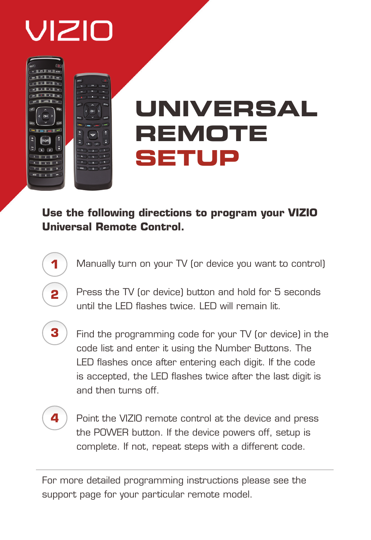# VIZIO

# **UNIVERSAL REMOTE SETUP**

**Use the following directions to program your VIZIO Universal Remote Control.**

- Manually turn on your TV (or device you want to control)
- Press the TV (or device) button and hold for 5 seconds until the LED flashes twice. LED will remain lit.
- **3**

**1**

**2**

Find the programming code for your TV (or device) in the code list and enter it using the Number Buttons. The LED flashes once after entering each digit. If the code is accepted, the LED flashes twice after the last digit is and then turns off.

**4**

Point the VIZIO remote control at the device and press the POWER button. If the device powers off, setup is complete. If not, repeat steps with a different code.

For more detailed programming instructions please see the support page for your particular remote model.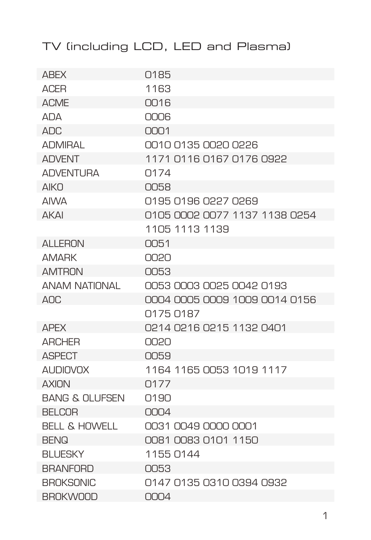| <b>ABEX</b>               | 0185                          |
|---------------------------|-------------------------------|
| <b>ACER</b>               | 1163                          |
| <b>ACME</b>               | 0016                          |
| ΔΠΑ                       | <b>NUU</b>                    |
| $\triangle \Box C$        | $\bigcap \bigcap 1$           |
| <b>ADMIRAI</b>            | 0010 0135 0020 0226           |
| <b>ADVENT</b>             | 1171 0116 0167 0176 0922      |
| <b>ADVENTURA</b>          | 0174                          |
| AIKN                      | <b>NO58</b>                   |
| <b>AIWA</b>               | 0195 0196 0227 0269           |
| <b>AKAI</b>               | 0105 0002 0077 1137 1138 0254 |
|                           | 1105 1113 1139                |
| <b>ALLERON</b>            | 0051                          |
| <b>AMARK</b>              | 0020                          |
| <b>AMTRON</b>             | <b>NO53</b>                   |
| <b>ANAM NATIONAL</b>      | 0053 0003 0025 0042 0193      |
| AOC                       | 0004 0005 0009 1009 0014 0156 |
|                           | 0175 0187                     |
| <b>APEX</b>               | 0214 0216 0215 1132 0401      |
| <b>ARCHER</b>             | UUSU                          |
| <b>ASPECT</b>             | 0059                          |
| <b>AUDIOVOX</b>           | 1164 1165 0053 1019 1117      |
| <b>AXION</b>              | Q177                          |
| <b>BANG &amp; OLUFSEN</b> | 01.90                         |
| <b>BELCOR</b>             | 0004                          |
| <b>BELL &amp; HOWELL</b>  | 0031 0049 0000 0001           |
| <b>BENQ</b>               | 0081 0083 0101 1150           |
| <b>BLUESKY</b>            | 1155 0144                     |
| <b>BRANFORD</b>           | OO53                          |
| <b>BROKSONIC</b>          | 0147 0135 0310 0394 0932      |
| <b>BROKWOOD</b>           | 0004                          |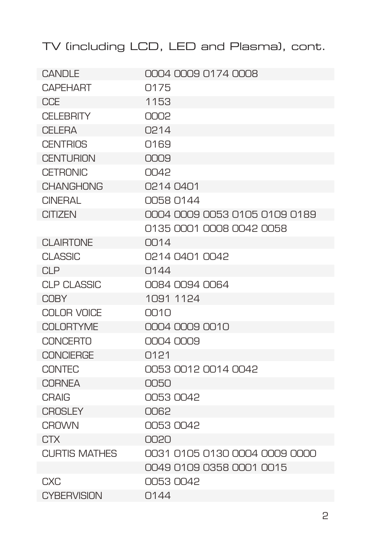| CANDLE               | 0004 0009 0174 0008           |
|----------------------|-------------------------------|
| <b>CAPFHART</b>      | Q175                          |
| <b>CCE</b>           | 1153                          |
| <b>CELEBRITY</b>     | 0002                          |
| CFI FRA              | 0214                          |
| <b>CENTRIOS</b>      | Q169                          |
| <b>CENTURION</b>     | 0009                          |
| <b>CETRONIC</b>      | 0042                          |
| <b>CHANGHONG</b>     | 0214 0401                     |
| CINFRAI              | 0058 0144                     |
| <b>CITIZEN</b>       | 0004 0009 0053 0105 0109 0189 |
|                      | 0135 0001 0008 0042 0058      |
| <b>CLAIRTONE</b>     | $\bigcap 14$                  |
| <b>CLASSIC</b>       | 0214 0401 0042                |
| CIP                  | Q144                          |
| <b>CLP CLASSIC</b>   | 0084 0094 0064                |
| <b>COBY</b>          | 1091 1124                     |
| COLOR VOICE          | 0010                          |
| <b>COLORTYME</b>     | 0004 0009 0010                |
| <b>CONCERTO</b>      | 0004 0009                     |
| <b>CONCIERGE</b>     | 0121                          |
| <b>CONTEC</b>        | 0053 0012 0014 0042           |
| <b>CORNEA</b>        | 0050                          |
| <b>CRAIG</b>         | 0053 0042                     |
| <b>CROSLEY</b>       | 0062                          |
| <b>CROWN</b>         | 00530042                      |
| <b>CTX</b>           | 0020                          |
| <b>CURTIS MATHES</b> | 0031 0105 0130 0004 0009 0000 |
|                      | 0049 0109 0358 0001 0015      |
| <b>CXC</b>           | 0053 0042                     |
| <b>CYBERVISION</b>   | Q144                          |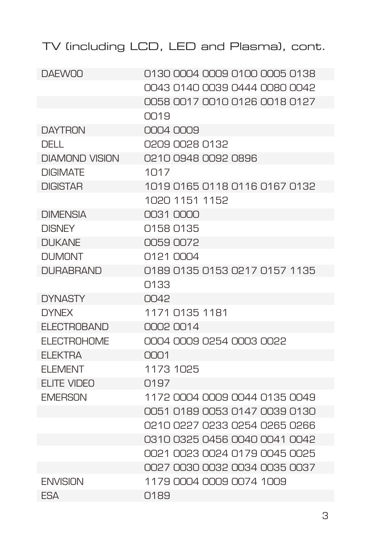| <b>DAFWOO</b>         | 0130 0004 0009 0100 0005 0138 |
|-----------------------|-------------------------------|
|                       | 0043 0140 0039 0444 0080 0042 |
|                       | 0058 0017 0010 0126 0018 0127 |
|                       | 0019                          |
| <b>DAYTRON</b>        | 0004 0009                     |
| DELL.                 | 0209 0028 0132                |
| <b>DIAMOND VISION</b> | 0210 0948 0092 0896           |
| <b>DIGIMATE</b>       | 1017                          |
| <b>DIGISTAR</b>       | 1019 0165 0118 0116 0167 0132 |
|                       | 1020 1151 1152                |
| <b>DIMENSIA</b>       | 0031 0000                     |
| <b>DISNEY</b>         | 0158 0135                     |
| <b>DI IKANE</b>       | 00590072                      |
| <b>DUMONT</b>         | 0121 0004                     |
| <b>DURABRAND</b>      | 0189 0135 0153 0217 0157 1135 |
|                       | 0133                          |
| <b>DYNASTY</b>        | 0042                          |
| <b>DYNFX</b>          | 1171 0135 1181                |
| FI FCTROBAND          | 0002 0014                     |
| <b>ELECTROHOME</b>    | 0004 0009 0254 0003 0022      |
| <b>FI FKTRA</b>       | $\bigcap \bigcap 1$           |
| <b>ELEMENT</b>        | 1173 1025                     |
| <b>ELITE VIDEO</b>    | Q197                          |
| <b>EMERSON</b>        | 1172 0004 0009 0044 0135 0049 |
|                       | 0051 0189 0053 0147 0039 0130 |
|                       | 0210 0227 0233 0254 0265 0266 |
|                       | 0310 0325 0456 0040 0041 0042 |
|                       | 0021 0023 0024 0179 0045 0025 |
|                       | 0027 0030 0032 0034 0035 0037 |
| <b>FNVISION</b>       | 1179 0004 0009 0074 1009      |
| <b>FSA</b>            | 0189                          |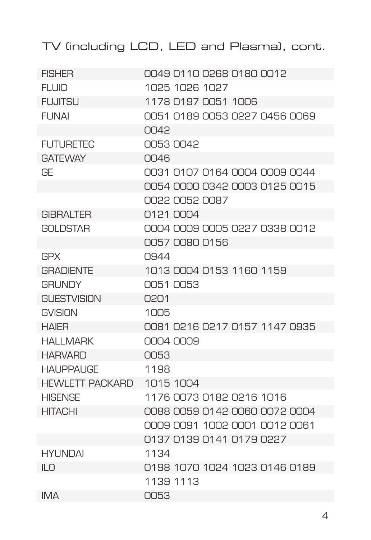| <b>FISHER</b>        | 0049 0110 0268 0180 0012      |
|----------------------|-------------------------------|
| <b>FLUID</b>         | 1025 1026 1027                |
| <b>FUJITSU</b>       | 1178 0197 0051 1006           |
| FI INAI              | 0051 0189 0053 0227 0456 0069 |
|                      | 0042                          |
| <b>FUTURETEC</b>     | 00530042                      |
| <b>GATFWAY</b>       | $\bigcap$ 46                  |
| GF                   | 0031 0107 0164 0004 0009 0044 |
|                      | 0054 0000 0342 0003 0125 0015 |
|                      | 0022 0052 0087                |
| <b>GIBRALTER</b>     | 0121 0004                     |
| <b>GOI DSTAR</b>     | 0004 0009 0005 0227 0338 0012 |
|                      | 0057 0080 0156                |
| <b>GPX</b>           | 0944                          |
| <b>GRADIENTE</b>     | 1013 0004 0153 1160 1159      |
| <b>GRI INDY</b>      | 0051 0053                     |
| <b>GUESTVISION</b>   | 0201                          |
| GVISION              | 1005                          |
| <b>HAIFR</b>         | 0081 0216 0217 0157 1147 0935 |
| <b>HAI I MARK</b>    | NNA NNA                       |
| <b>HARVARD</b>       | 0053                          |
| <b>HAI IPPAI IGF</b> | 1198                          |
| HEWLETT PACKARD      | 1015 1004                     |
| <b>HISFNSF</b>       | 1176 0073 0182 0216 1016      |
| <b>HITACHI</b>       | 0088 0059 0142 0060 0072 0004 |
|                      | 0009 0091 1002 0001 0012 0061 |
|                      | 0137 0139 0141 0179 0227      |
| <b>HYUNDAI</b>       | 1134                          |
| ILO                  | 0198 1070 1024 1023 0146 0189 |
|                      | 1139 1113                     |
| <b>IMA</b>           | 0053                          |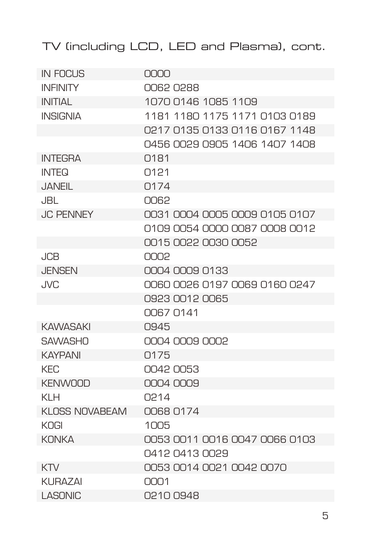| <b>IN FOCUS</b>  | nnnn                          |
|------------------|-------------------------------|
| <b>INFINITY</b>  | 00620288                      |
| <b>INITIAL</b>   | 1070 0146 1085 1109           |
| <b>INSIGNIA</b>  | 1181 1180 1175 1171 0103 0189 |
|                  | 0217 0135 0133 0116 0167 1148 |
|                  | 0456 0029 0905 1406 1407 1408 |
| <b>INTEGRA</b>   | Q <sub>181</sub>              |
| INTFQ            | O <sub>121</sub>              |
| <b>JANFIL</b>    | Q174                          |
| JBL.             | 0062                          |
| <b>JC PENNEY</b> | 0031 0004 0005 0009 0105 0107 |
|                  | 0109 0054 0000 0087 0008 0012 |
|                  | 0015 0022 0030 0052           |
| <b>JCB</b>       | 0002                          |
| JENSEN           | 0004 0009 0133                |
| JVC              | 0060 0026 0197 0069 0160 0247 |
|                  | 0923 0012 0065                |
|                  | 0067 0141                     |
| <b>KAWASAKI</b>  | 0945                          |
| <b>SAWASHO</b>   | 0004 0009 0002                |
| <b>KAYPANI</b>   | 0175                          |
| <b>KEC</b>       | 0042 0053                     |
| <b>KENWOOD</b>   | 0004 0009                     |
| KI H             | O <sub>214</sub>              |
| KLOSS NOVABEAM   | 0068 0174                     |
| KOGI             | 1005                          |
| <b>KONKA</b>     | 0053 0011 0016 0047 0066 0103 |
|                  | 0412 0413 0029                |
| KTV              | 0053 0014 0021 0042 0070      |
| <b>KURAZAI</b>   | 0001                          |
| <b>LASONIC</b>   | 02100948                      |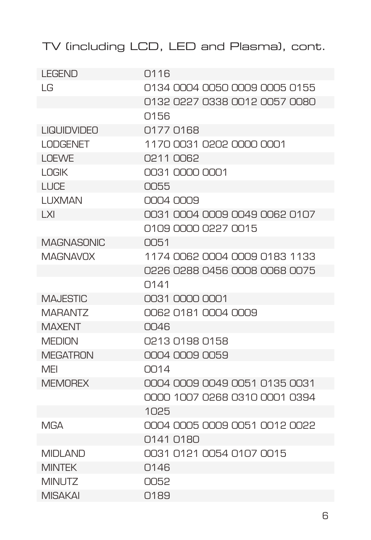| <b>LEGEND</b>      | 0116                          |
|--------------------|-------------------------------|
| I G                | 0134 0004 0050 0009 0005 0155 |
|                    | 0132 0227 0338 0012 0057 0080 |
|                    | Q156                          |
| <b>LIQUIDVIDEO</b> | 0177 0168                     |
| <b>LODGENET</b>    | 1170 0031 0202 0000 0001      |
| <b>LOEWE</b>       | 0211 0062                     |
| <b>LOGIK</b>       | 0031 0000 0001                |
| <b>I UCF</b>       | 0055                          |
| LUXMAN             | 0004 0009                     |
| I XI               | 0031 0004 0009 0049 0062 0107 |
|                    | 0109 0000 0227 0015           |
| <b>MAGNASONIC</b>  | 0051                          |
| ΜΑGΝΑVΩΧ           | 1174 0062 0004 0009 0183 1133 |
|                    | 0226 0288 0456 0008 0068 0075 |
|                    | Q141                          |
| <b>MAJESTIC</b>    | 0031 0000 0001                |
| <b>MARANTZ</b>     | 0062 0181 0004 0009           |
| <b>MAXFNT</b>      | 0046                          |
| <b>MEDION</b>      | 0213 0198 0158                |
| <b>MEGATRON</b>    | 0004 0009 0059                |
| MFI                | 0014                          |
| <b>MFMORFX</b>     | 0004 0009 0049 0051 0135 0031 |
|                    | 0000 1007 0268 0310 0001 0394 |
|                    | 1025                          |
| <b>MGA</b>         | 0004 0005 0009 0051 0012 0022 |
|                    | 0141 0180                     |
| <b>MIDLAND</b>     | 0031 0121 0054 0107 0015      |
| <b>MINTEK</b>      | 0146                          |
| <b>MINUTZ</b>      | 0052                          |
| <b>MISAKAI</b>     | Q189                          |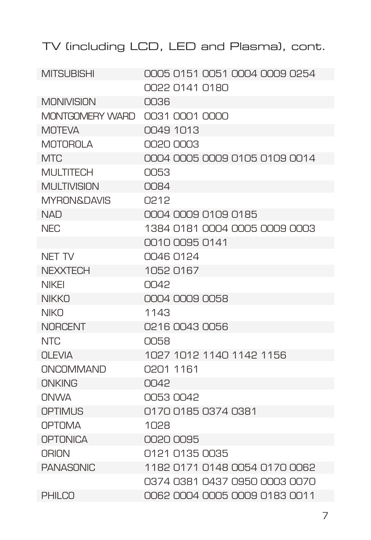| <b>MITSUBISHI</b>      | 0005 0151 0051 0004 0009 0254 |
|------------------------|-------------------------------|
|                        | 0022 0141 0180                |
| <b>MONIVISION</b>      | 0036                          |
| <b>MONTGOMERY WARD</b> | 0031 0001 0000                |
| <b>MOTFVA</b>          | 0049 1013                     |
| <b>MOTOROLA</b>        | 0020 0003                     |
| MTC                    | 0004 0005 0009 0105 0109 0014 |
| <b>MULTITECH</b>       | 0053                          |
| <b>MULTIVISION</b>     | $\bigcap$ B4                  |
| <b>MYRON&amp;DAVIS</b> | O212                          |
| <b>NAD</b>             | 0004 0009 0109 0185           |
| <b>NEC</b>             | 1384 0181 0004 0005 0009 0003 |
|                        | 0010 0095 0141                |
| NET TV                 | 0046 0124                     |
| <b>NEXXTECH</b>        | 10520167                      |
| <b>NIKFI</b>           | 0042                          |
| <b>NIKKO</b>           | 0004 0009 0058                |
| <b>NIKO</b>            | 1143                          |
| <b>NORCENT</b>         | 0216 0043 0056                |
| NTC                    | <b>NO58</b>                   |
| <b>OLEVIA</b>          | 1027 1012 1140 1142 1156      |
| ONCOMMAND              | 0201 1161                     |
| ONKING                 | 0042                          |
| <b>NNWA</b>            | 0053.0042                     |
| OPTIMUS                | 0170 0185 0374 0381           |
| <b>OPTOMA</b>          | 1028                          |
| <b>OPTONICA</b>        | 0020 0095                     |
| <b>ORION</b>           | 0121 0135 0035                |
| <b>PANASONIC</b>       | 1182 0171 0148 0054 0170 0062 |
|                        | 0374 0381 0437 0950 0003 0070 |
| <b>PHILCO</b>          | 0062 0004 0005 0009 0183 0011 |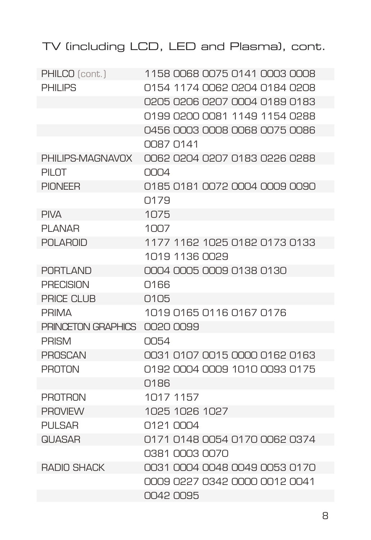| PHILCO (cont.)     | 1158 0068 0075 0141 0003 0008 |
|--------------------|-------------------------------|
| <b>PHILIPS</b>     | 0154 1174 0062 0204 0184 0208 |
|                    | 0205 0206 0207 0004 0189 0183 |
|                    | 0199 0200 0081 1149 1154 0288 |
|                    | 0456 0003 0008 0068 0075 0086 |
|                    | 0087 0141                     |
| PHILIPS-MAGNAVOX   | 0062 0204 0207 0183 0226 0288 |
| PILOT              | 0004                          |
| <b>PIONFFR</b>     | 0185 0181 0072 0004 0009 0090 |
|                    | Q179                          |
| <b>PIVA</b>        | 1075                          |
| <b>PLANAR</b>      | 1007                          |
| <b>POLAROID</b>    | 1177 1162 1025 0182 0173 0133 |
|                    | 1019 1136 0029                |
| <b>PORTLAND</b>    | 0004 0005 0009 0138 0130      |
| <b>PRECISION</b>   | 0166                          |
| PRICE CLUB         | 0105                          |
| <b>PRIMA</b>       | 1019 0165 0116 0167 0176      |
| PRINCETON GRAPHICS | 0020 0099                     |
| <b>PRISM</b>       | 0054                          |
| <b>PROSCAN</b>     | 0031 0107 0015 0000 0162 0163 |
| <b>PROTON</b>      | 0192 0004 0009 1010 0093 0175 |
|                    | 0186                          |
| <b>PROTRON</b>     | 1017 1157                     |
| <b>PROVIEW</b>     | 1025 1026 1027                |
| <b>PULSAR</b>      | 0121 0004                     |
| <b>QUASAR</b>      | 0171 0148 0054 0170 0062 0374 |
|                    | 0381 0003 0070                |
| <b>RADIO SHACK</b> | 0031 0004 0048 0049 0053 0170 |
|                    | 0009 0227 0342 0000 0012 0041 |
|                    | 0042 0095                     |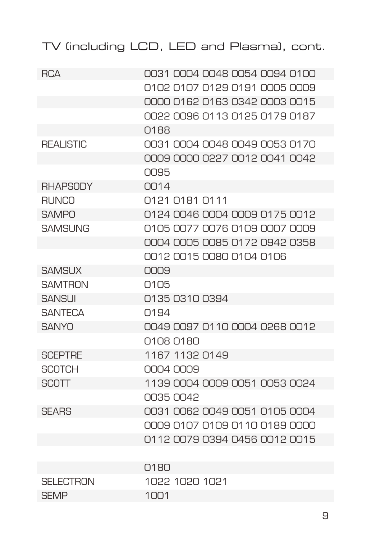| <b>RCA</b>       | 0031 0004 0048 0054 0094 0100        |
|------------------|--------------------------------------|
|                  | 0102 0107 0129 0191 0005 0009        |
|                  | 0000 0162 0163 0342 0003 0015        |
|                  | 0022 0096 0113 0125 0179 0187        |
|                  | 0188                                 |
| <b>REALISTIC</b> | 0031 0004 0048 0049 0053 0170        |
|                  | <u>OOD9 OOOD O227 OO12 OO41 OO42</u> |
|                  | 0095                                 |
| <b>RHAPSODY</b>  | $\bigcap 14$                         |
| <b>RUNCO</b>     | 0121 0181 0111                       |
| SAMPO            | 0124 0046 0004 0009 0175 0012        |
| SAMSLING         | 0105 0077 0076 0109 0007 0009        |
|                  | 0004 0005 0085 0172 0942 0358        |
|                  | 0012 0015 0080 0104 0106             |
| <b>SAMSUX</b>    | 000.9                                |
| <b>SAMTRON</b>   | 0105                                 |
| <b>SANSUI</b>    | 0135 0310 0394                       |
| <b>SANTFCA</b>   | Q194                                 |
| <b>SANYO</b>     | 0049 0097 0110 0004 0268 0012        |
|                  | 0108 0180                            |
| <b>SCEPTRE</b>   | 1167 1132 0149                       |
| <b>SCOTCH</b>    | NN4 NN9                              |
| <b>SCOTT</b>     | 1139 0004 0009 0051 0053 0024        |
|                  | 0035 0042                            |
| <b>SEARS</b>     | 0031 0062 0049 0051 0105 0004        |
|                  | <u>OOD9 0107 0109 0110 0189 OOOO</u> |
|                  | 0112 0079 0394 0456 0012 0015        |
|                  |                                      |
|                  | 0180                                 |
| <b>SELECTRON</b> | 1022 1020 1021                       |
| <b>SEMP</b>      | 1001                                 |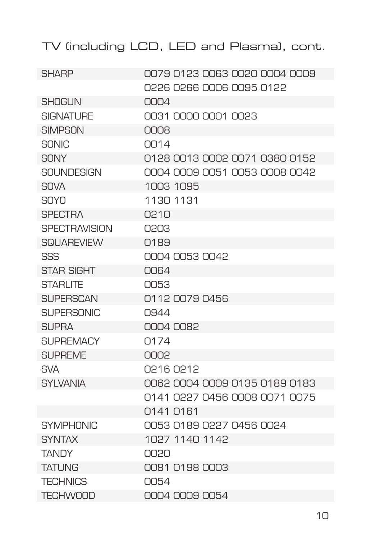| <b>SHARP</b>         | 0079 0123 0063 0020 0004 0009 |
|----------------------|-------------------------------|
|                      | 9226 0266 0006 0095 0122      |
| <b>SHOGUN</b>        | 0004                          |
| SIGNATI IRF          | 0031 0000 0001 0023           |
| SIMPSON              | <b>NUCK</b>                   |
| <b>SONIC</b>         | $\bigcap 14$                  |
| <b>SONY</b>          | 0128 0013 0002 0071 0380 0152 |
| SOLINDESIGN          | 0004 0009 0051 0053 0008 0042 |
| <b>SOVA</b>          | 1003 1095                     |
| SNYN                 | 1130 1131                     |
| <b>SPECTRA</b>       | O210                          |
| <b>SPECTRAVISION</b> | 0203                          |
| SQI JAREVIEW         | Q189                          |
| SSS                  | 0004 0053 0042                |
| <b>STAR SIGHT</b>    | $\bigcap$ 64                  |
| <b>STARLITE</b>      | 0053                          |
| SI IPFRSCAN          | 0112 0079 0456                |
| <b>SUPERSONIC</b>    | 0944                          |
| SI IPRA              | 0004 0082                     |
| SI IPRFMACY          | Q174                          |
| <b>SUPREME</b>       | 0002                          |
| <b>SVA</b>           | O216 O212                     |
| <b>SYLVANIA</b>      | 0062 0004 0009 0135 0189 0183 |
|                      | 0141 0227 0456 0008 0071 0075 |
|                      | 0141 0161                     |
| <b>SYMPHONIC</b>     | 0053 0189 0227 0456 0024      |
| <b>SYNTAX</b>        | 1027 1140 1142                |
| <b>TANDY</b>         | OORO                          |
| <b>TATI ING</b>      | 0081 0198 0003                |
| <b>TFCHNICS</b>      | 0054                          |
| <b>TECHWOOD</b>      | 0004 0009 0054                |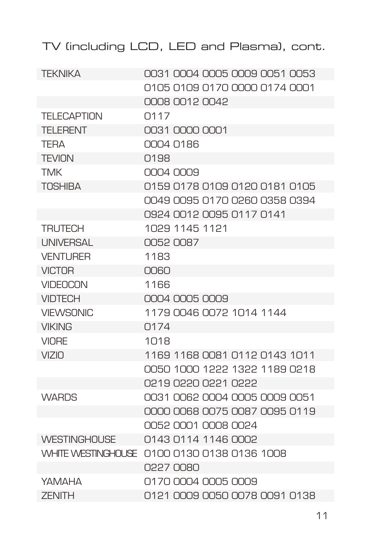| <b>TEKNIKA</b>      | 0031 0004 0005 0009 0051 0053 |
|---------------------|-------------------------------|
|                     | 0105 0109 0170 0000 0174 0001 |
|                     | 0008 0012 0042                |
| <b>TELECAPTION</b>  | Q117                          |
| <b>TFI FRENT</b>    | 0031 0000 0001                |
| <b>TERA</b>         | 0004 0186                     |
| <b>TEVION</b>       | Q198                          |
| <b>TMK</b>          | 0004 0009                     |
| <b>TOSHIBA</b>      | 0159 0178 0109 0120 0181 0105 |
|                     | 0049 0095 0170 0260 0358 0394 |
|                     | 0924 0012 0095 0117 0141      |
| <b>TRUTECH</b>      | 1029 1145 1121                |
| <b>UNIVERSAL</b>    | 0052 0087                     |
| <b>VENTURER</b>     | 1183                          |
| <b>VICTOR</b>       | NUEU                          |
| <b>VIDEOCON</b>     | 1166                          |
| <b>VIDTECH</b>      | 0004 0005 0009                |
| <b>VIFWSONIC</b>    | 1179 0046 0072 1014 1144      |
| <b>VIKING</b>       | Q174                          |
| <b>VIORE</b>        | 1018                          |
| <b>VIZIO</b>        | 1169 1168 0081 0112 0143 1011 |
|                     | 0050 1000 1222 1322 1189 0218 |
|                     | 0219 0220 0221 0222           |
| <b>WARDS</b>        | 0031 0062 0004 0005 0009 0051 |
|                     | 0000 0068 0075 0087 0095 0119 |
|                     | 0052 0001 0008 0024           |
| <b>WESTINGHOUSE</b> | 0143 0114 1146 0002           |
| WHITE WESTINGHOUSE  | 0100 0130 0138 0136 1008      |
|                     | 0227 0080                     |
| ΥΑΜΑΗΑ              | 0170 0004 0005 0009           |
| <b>ZENITH</b>       | 0121 0009 0050 0078 0091 0138 |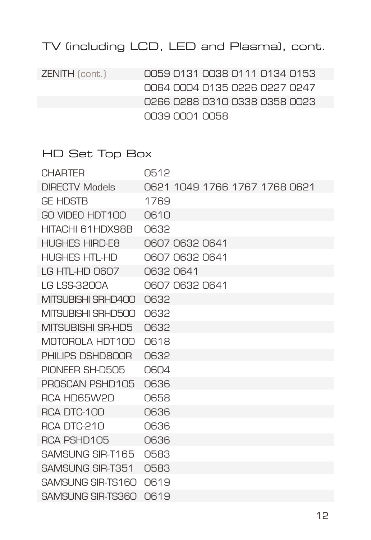ZENITH (cont.) 0059 0131 0038 0111 0134 0153 0064 0004 0135 0226 0227 0247 0266 0288 0310 0338 0358 0023 0039 0001 0058

#### HD Set Top Box

| CHARTFR               | 0512                          |
|-----------------------|-------------------------------|
| <b>DIRECTV Models</b> | 0621 1049 1766 1767 1768 0621 |
| <b>GF HDSTR</b>       | 1769                          |
| GO VIDEO HDT100       | 0610                          |
| HITACHI 61HDX98B      | 0632                          |
| <b>HUGHES HIRD-E8</b> | 0607 0632 0641                |
| <b>HUGHES HTL-HD</b>  | 0607 0632 0641                |
| LG HTL-HD 0607        | 06320641                      |
| I G I SS-3200A        | 0607 0632 0641                |
| MITSUBISHI SRHD400    | 0632                          |
| MITSUBISHI SRHD500    | 0632                          |
| MITSUBISHI SR-HD5     | <b>O632</b>                   |
| MOTOROLA HDT100       | 0618                          |
| PHILIPS DSHD800R      | 0632                          |
| PIONFFR SH-D505       | 0604                          |
| PROSCAN PSHD105       | 0636                          |
| RCA HD65W20           | 0658                          |
| <b>RCA DTC-100</b>    | 0636                          |
| <b>RCA DTC-210</b>    | 0636                          |
| RCA PSHD105           | 0636                          |
| SAMSUNG SIR-T165      | 0583                          |
| SAMSUNG SIR-T351      | 0583                          |
| SAMSUNG SIR-TS160     | 0619                          |
| SAMSUNG SIR-TS360     | 0619                          |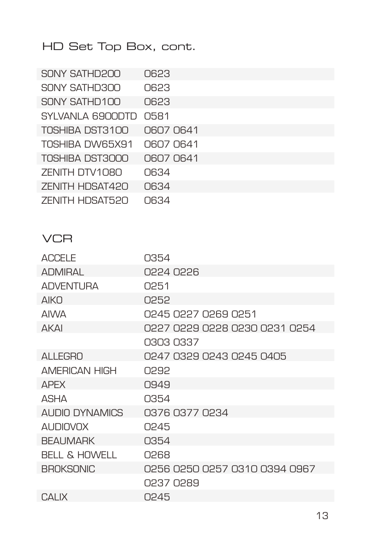# HD Set Top Box, cont.

| SONY SATHD200          | 0623      |
|------------------------|-----------|
| SONY SATHD300          | 0623      |
| SONY SATHD100          | 0623      |
| SYI VANI A G900DTD     | 0581      |
| TOSHIBA DST3100        | O607 0641 |
| TOSHIBA DW65X91        | 0607 0641 |
| TOSHIBA DST3000        | 06070641  |
| ZENITH DTV1080         | 0634      |
| <b>ZENITH HDSAT420</b> | 0634      |
| <b>ZENITH HDSAT520</b> | 0634      |

#### **VCR**

| <b>ACCELE</b>            | 0354                          |
|--------------------------|-------------------------------|
| <b>ADMIRAL</b>           | ASSA D226                     |
| <b>ADVENTURA</b>         | 0251                          |
| <b>AIKO</b>              | 0252                          |
| <b>AIWA</b>              | 0245 0227 0269 0251           |
| <b>AKAI</b>              | 0227 0229 0228 0230 0231 0254 |
|                          | 0303 0337                     |
| <b>ALLEGRO</b>           | 0247 0329 0243 0245 0405      |
| <b>AMERICAN HIGH</b>     | OP.92                         |
| <b>APFX</b>              | 0.94.9                        |
| ASHA                     | 0354                          |
| ALIDIO DYNAMICS          | 0376 0377 0234                |
| <b>AUDIOVOX</b>          | 0245                          |
| <b>BEAUMARK</b>          | 0354                          |
| <b>BELL &amp; HOWELL</b> | 0268                          |
| <b>BROKSONIC</b>         | 0256 0250 0257 0310 0394 0967 |
|                          | 0237 0289                     |
| <b>CALIX</b>             | 0245                          |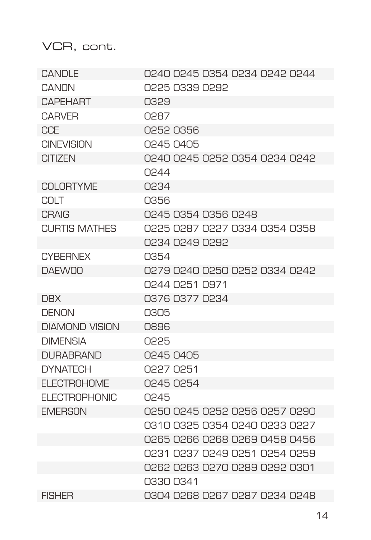| CANDLE                | 0240 0245 0354 0234 0242 0244 |
|-----------------------|-------------------------------|
| CANON                 | 0225 0339 0292                |
| <b>CAPEHART</b>       | 0329                          |
| <b>CARVER</b>         | <b>CRSO</b>                   |
| CCF                   | 0252 0356                     |
| <b>CINEVISION</b>     | N245 N4N5                     |
| CITIZEN               | 0240 0245 0252 0354 0234 0242 |
|                       | 0244                          |
| <b>COLORTYME</b>      | 0234                          |
| COI T                 | 0356                          |
| <b>CRAIG</b>          | 0245 0354 0356 0248           |
| <b>CURTIS MATHES</b>  | 0225 0287 0227 0334 0354 0358 |
|                       | 0234 0249 0292                |
| <b>CYBERNEX</b>       | 0354                          |
| <b>DAEWOO</b>         | 0279 0240 0250 0252 0334 0242 |
|                       | 0244 0251 0971                |
| <b>DBX</b>            | 0376 0377 0234                |
| <b>DENON</b>          | 0305                          |
| <b>DIAMOND VISION</b> | 0896                          |
| <b>DIMENSIA</b>       | 0225                          |
| <b>DURABRAND</b>      | 0245 0405                     |
| <b>DYNATECH</b>       | 0227 0251                     |
| <b>ELECTROHOME</b>    | 0245 0254                     |
| FI FCTROPHONIC        | 0245                          |
| <b>EMERSON</b>        | 0250 0245 0252 0256 0257 0290 |
|                       | 0310 0325 0354 0240 0233 0227 |
|                       | 0265 0266 0268 0269 0458 0456 |
|                       | 0231 0237 0249 0251 0254 0259 |
|                       | 0262 0263 0270 0289 0292 0301 |
|                       | 0330 0341                     |
| <b>FISHER</b>         | 0304 0268 0267 0287 0234 0248 |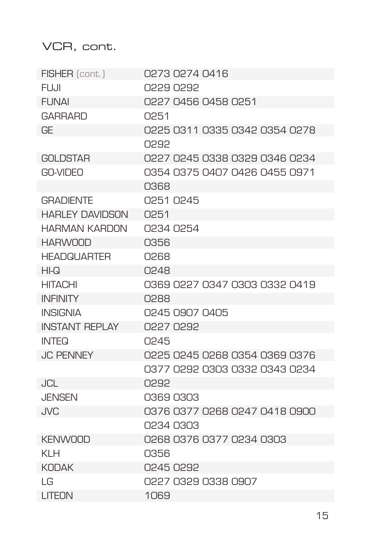| FISHER (cont.)         | 0273 0274 0416                |
|------------------------|-------------------------------|
| FUJJI.                 | SRSO PSSO                     |
| <b>FUNAI</b>           | 0227 0456 0458 0251           |
| <b>GARRARD</b>         | 0251                          |
| GF                     | 0225 0311 0335 0342 0354 0278 |
|                        | <b>GRSU</b>                   |
| <b>GOLDSTAR</b>        | 0227 0245 0338 0329 0346 0234 |
| GO-VIDEO               | 0354 0375 0407 0426 0455 0971 |
|                        | 0368                          |
| <b>GRADIENTE</b>       | 0251 0245                     |
| <b>HARLEY DAVIDSON</b> | O <sub>251</sub>              |
| <b>HARMAN KARDON</b>   | 0234 0254                     |
| <b>HARWOOD</b>         | 0356                          |
| <b>HEADQUARTER</b>     | <b>C268</b>                   |
| HI-Q                   | 0248                          |
| <b>HITACHI</b>         | 0369 0227 0347 0303 0332 0419 |
| <b>INFINITY</b>        | <b>C288</b>                   |
| <b>INSIGNIA</b>        | 0245 0907 0405                |
| <b>INSTANT REPLAY</b>  | 0227 0292                     |
| INTFQ                  | 0245                          |
| <b>JC PENNEY</b>       | 0225 0245 0268 0354 0369 0376 |
|                        | 0377 0292 0303 0332 0343 0234 |
| <b>JCL</b>             | 0292                          |
| <b>JENSEN</b>          | 03690303                      |
| , IVC                  | 0376 0377 0268 0247 0418 0900 |
|                        | 0234 0303                     |
| <b>KENWOOD</b>         | 0268 0376 0377 0234 0303      |
| KI H                   | 0356                          |
| <b>KUDAK</b>           | 0245 0292                     |
| LG                     | 0227 0329 0338 0907           |
| LITEON                 | 1069                          |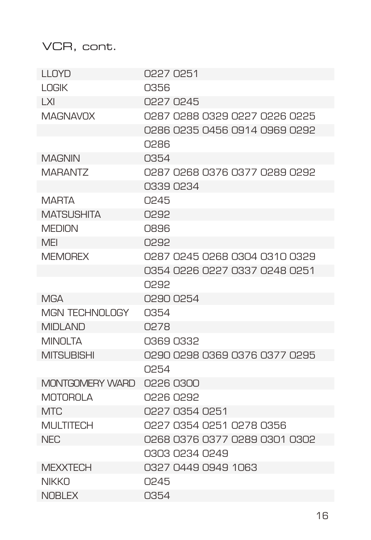| <b>II NYD</b>          | N227 N251                     |
|------------------------|-------------------------------|
| <b>LOGIK</b>           | 0356                          |
| I XI                   | 0227 0245                     |
| ΜΑGΝΑVΩΧ               | 0287 0288 0329 0227 0225 0225 |
|                        | 0286 0235 0456 0914 0969 0292 |
|                        | 0286                          |
| <b>MAGNIN</b>          | 0354                          |
| MARANTZ                | 0287 0268 0376 0377 0289 0292 |
|                        | 0339 0234                     |
| MARTA                  | 0245                          |
| <b>MATSUSHITA</b>      | 0292                          |
| <b>MEDION</b>          | O896                          |
| MFI                    | <b>CP.92</b>                  |
| <b>MEMOREX</b>         | 0287 0245 0268 0304 0310 0329 |
|                        | 0354 0226 0227 0337 0248 0251 |
|                        | <b>GRSU</b>                   |
| MGA                    | 0290 0254                     |
| <b>MGN TECHNOLOGY</b>  | 0354                          |
| <b>MIDI AND</b>        | O278                          |
| <b>MINOLTA</b>         | 0369 0332                     |
| <b>MITSUBISHI</b>      | 0290 0298 0369 0376 0377 0295 |
|                        | 0254                          |
| <b>MONTGOMERY WARD</b> | 0226 0300                     |
| <b>MOTOROLA</b>        | 928 0292                      |
| MTC                    | 0227 0354 0251                |
| <b>MULTITECH</b>       | 0227 0354 0251 0278 0356      |
| NFC                    | 0268 0376 0377 0289 0301 0302 |
|                        | 0303 0234 0249                |
| <b>MEXXTECH</b>        | 0327 0449 0949 1063           |
| NIKKN                  | 0245                          |
| NOBI FX                | 0354                          |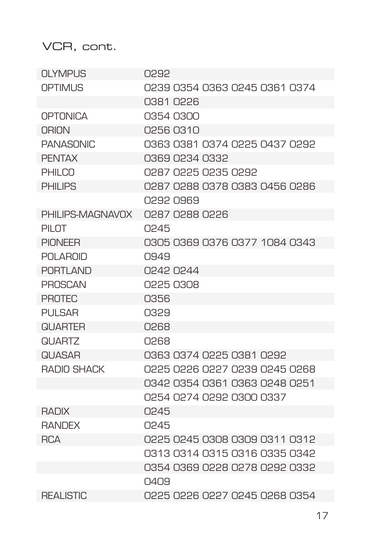| OLYMPUS          | 0292                          |
|------------------|-------------------------------|
| OPTIMI IS        | 0239 0354 0363 0245 0361 0374 |
|                  | 0381 0226                     |
| <b>OPTONICA</b>  | 0354 0300                     |
| ORION            | 0256 0310                     |
| <b>PANASONIC</b> | 0363 0381 0374 0225 0437 0292 |
| <b>PFNTAX</b>    | 0369 0234 0332                |
| <b>PHILCO</b>    | 0287 0225 0235 0292           |
| PHII IPS         | 0287 0288 0378 0383 0456 0286 |
|                  | RARN SRSN                     |
| PHILIPS-MAGNAVOX | 0287 0288 0226                |
| PILOT            | 0245                          |
| PIONEER          | 0305 0369 0376 0377 1084 0343 |
| POI AROID        | ∩949                          |
| PORTI AND        | 0242 0244                     |
| <b>PROSCAN</b>   | 0225 0308                     |
| <b>PROTEC</b>    | 0356                          |
| <b>PULSAR</b>    | 0329                          |
| <b>QUARTER</b>   | 0268                          |
| NI IARTZ         | 0268                          |
| <b>QUASAR</b>    | 0363 0374 0225 0381 0292      |
| RADIO SHACK      | 0225 0226 0227 0239 0245 0268 |
|                  | 0342 0354 0361 0363 0248 0251 |
|                  | 0254 0274 0292 0300 0337      |
| <b>RADIX</b>     | 0245                          |
| <b>RANDEX</b>    | 0245                          |
| <b>RCA</b>       | 0225 0245 0308 0309 0311 0312 |
|                  | 0313 0314 0315 0316 0335 0342 |
|                  | 0354 0369 0228 0278 0292 0332 |
|                  | 040.9                         |
| <b>REALISTIC</b> | 0225 0226 0227 0245 0268 0354 |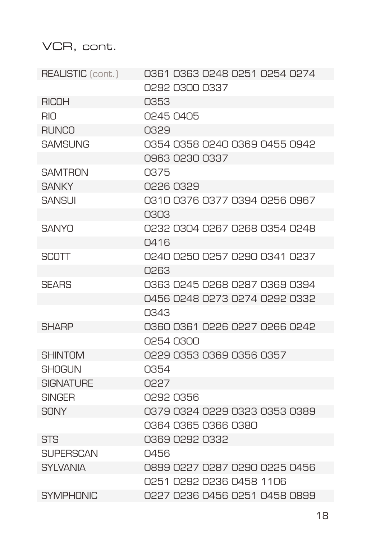| <b>REALISTIC</b> (cont.) | 0361 0363 0248 0251 0254 0274 |
|--------------------------|-------------------------------|
|                          | 0292 0300 0337                |
| <b>RICOH</b>             | 0353                          |
| <b>RIO</b>               | 0245 0405                     |
| <b>RUNCO</b>             | 0329                          |
| SAMSLING                 | 0354 0358 0240 0369 0455 0942 |
|                          | 0963 0230 0337                |
| <b>SAMTRON</b>           | 0375                          |
| <b>SANKY</b>             | <b>PSEO ASSO</b>              |
| SANSI JI                 | 0310 0376 0377 0394 0256 0967 |
|                          | 0303                          |
| <b>SANYO</b>             | 0232 0304 0267 0268 0354 0248 |
|                          | Q416                          |
| <b>SCOTT</b>             | 0240 0250 0257 0290 0341 0237 |
|                          | CRS0                          |
| <b>SFARS</b>             | 0363 0245 0268 0287 0369 0394 |
|                          | 0456 0248 0273 0274 0292 0332 |
|                          | 0343                          |
| <b>SHARP</b>             | 0360 0361 0226 0227 0266 0242 |
|                          | N254 N300                     |
| <b>SHINTOM</b>           | 0229 0353 0369 0356 0357      |
| <b>SHOGUN</b>            | 0354                          |
| <b>SIGNATURE</b>         | 0227                          |
| SINGFR                   | 0292 0356                     |
| <b>SONY</b>              | 0379 0324 0229 0323 0353 0389 |
|                          | 0364 0365 0366 0380           |
| <b>STS</b>               | 0369 0292 0332                |
| <b>SUPERSCAN</b>         | 0456                          |
| <b>SYLVANIA</b>          | 0899 0227 0287 0290 0225 0456 |
|                          | 0251 0292 0236 0458 1106      |
| <b>SYMPHONIC</b>         | 0227 0236 0456 0251 0458 0899 |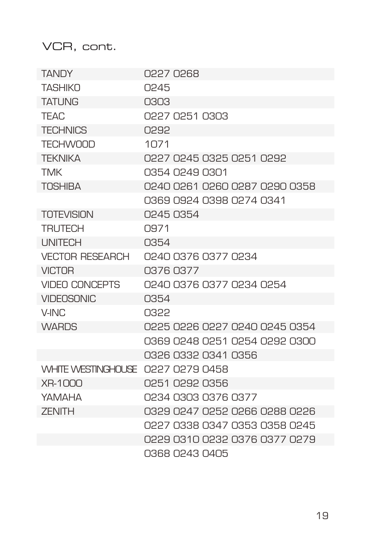| <b>TANDY</b>                      | 0227 0268                     |
|-----------------------------------|-------------------------------|
| <b>TASHIKO</b>                    | 0245                          |
| <b>TATI ING</b>                   | C.O.S.O                       |
| <b>TEAC</b>                       | 0227 0251 0303                |
| <b>TECHNICS</b>                   | 0292                          |
| <b>TFCHWOOD</b>                   | 1071                          |
| <b>TFKNIKA</b>                    | 0227 0245 0325 0251 0292      |
| <b>TMK</b>                        | 0354 0249 0301                |
| <b>TOSHIBA</b>                    | 0240 0261 0260 0287 0290 0358 |
|                                   | 0369 0924 0398 0274 0341      |
| <b>TOTEVISION</b>                 | 0245 0354                     |
| <b>TRUTECH</b>                    | O.971                         |
| <b>I INITECH</b>                  | 0354                          |
| <b>VECTOR RESEARCH</b>            | 0240 0376 0377 0234           |
| <b>VICTOR</b>                     | 0376 0377                     |
| <b>VIDEO CONCEPTS</b>             | 0240 0376 0377 0234 0254      |
| <b>VIDEOSONIC</b>                 | 0354                          |
| V-INC                             | <b>CSSU</b>                   |
| <b>WARDS</b>                      | 0225 0226 0227 0240 0245 0354 |
|                                   | 0369 0248 0251 0254 0292 0300 |
|                                   | 0326 0332 0341 0356           |
| WHITE WESTINGHOUSE 0227 0279 0458 |                               |
| XR-1000                           | 0251 0292 0356                |
| ΥΔΜΔΗΔ                            | 0234 0303 0376 0377           |
| <b>7FNITH</b>                     | 0329 0247 0252 0266 0288 0226 |
|                                   | 0227 0338 0347 0353 0358 0245 |
|                                   | 0229 0310 0232 0376 0377 0279 |
|                                   | 0368 0243 0405                |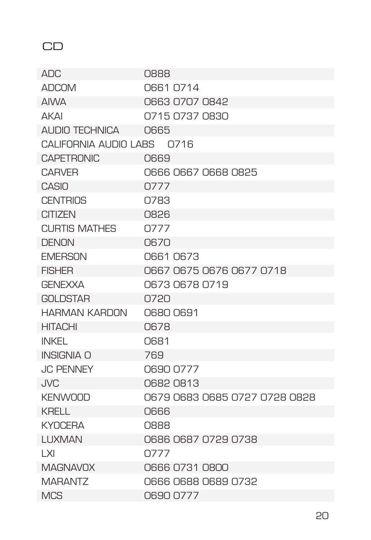# CD

| ADC                        | 0888                          |
|----------------------------|-------------------------------|
| <b>ADCOM</b>               | 0661 0714                     |
| <b>AIWA</b>                | 0663 0707 0842                |
| <b>AKAI</b>                | 0715 0737 0830                |
| ALIDIO TECHNICA            | 0665                          |
| CALIFORNIA AUDIO LARS 0716 |                               |
| <b>CAPETRONIC</b>          | 0669                          |
| <b>CARVER</b>              | 0666 0667 0668 0825           |
| CASIO                      | 0777                          |
| <b>CENTRIOS</b>            | O783                          |
| CITIZEN                    | <b>NS26</b>                   |
| <b>CURTIS MATHES</b>       | 0777                          |
| <b>DENON</b>               | 0670                          |
| <b>FMFRSON</b>             | O661 O673                     |
| <b>FISHER</b>              | 0667 0675 0676 0677 0718      |
| <b>GENEXXA</b>             | 0673 0678 0719                |
| <b>GOLDSTAR</b>            | 0720                          |
| <b>HARMAN KARDON</b>       | O680 O691                     |
| <b>HITACHI</b>             | <b>O678</b>                   |
| INKFI                      | 0681                          |
| <b>INSIGNIA O</b>          | 769                           |
| <b>JC PENNEY</b>           | 0690 0777                     |
| <b>JVC</b>                 | 06820813                      |
| <b>KENWOOD</b>             | 0679 0683 0685 0727 0728 0828 |
| KRFI I                     | <b>N666</b>                   |
| <b>KYOCERA</b>             | 0888                          |
| <b>LUXMAN</b>              | 0686 0687 0729 0738           |
| I XI                       | 0777                          |
| <b>MAGNAVOX</b>            | 0666 0731 0800                |
| MARANTZ                    | 0666 0688 0689 0732           |
| <b>MCS</b>                 | 0690 0777                     |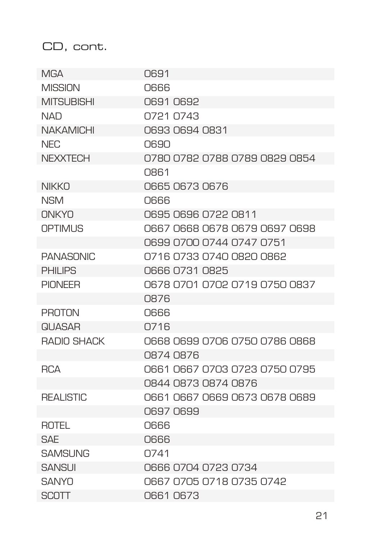#### CD, cont.

| <b>MGA</b>         | 0691                          |
|--------------------|-------------------------------|
| <b>MISSION</b>     | 0666                          |
| <b>MITSUBISHI</b>  | 0691 0692                     |
| <b>NAD</b>         | 0721 0743                     |
| <b>NAKAMICHI</b>   | 0693 0694 0831                |
| NFC                | <b>N6.90</b>                  |
| <b>NEXXTECH</b>    | 0780 0782 0788 0789 0829 0854 |
|                    | 0861                          |
| <b>NIKKO</b>       | 0665 0673 0676                |
| <b>NSM</b>         | <b>NG66</b>                   |
| ONKYO              | 0695 0696 0722 0811           |
| <b>OPTIMUS</b>     | 0667 0668 0678 0679 0697 0698 |
|                    | 0699 0700 0744 0747 0751      |
| <b>PANASONIC</b>   | 0716 0733 0740 0820 0862      |
| PHII IPS           | 0666 0731 0825                |
| <b>PIONFFR</b>     | 0678 0701 0702 0719 0750 0837 |
|                    | 0876                          |
| <b>PROTON</b>      | <b>NG66</b>                   |
| <b>QIJASAR</b>     | 0716                          |
| <b>RADIO SHACK</b> | 0668 0699 0706 0750 0786 0868 |
|                    | 0874 0876                     |
| <b>RCA</b>         | 0661 0667 0703 0723 0750 0795 |
|                    | 0844 0873 0874 0876           |
| <b>REALISTIC</b>   | 0661 0667 0669 0673 0678 0689 |
|                    | O697 O699                     |
| ROTEL              | 0666                          |
| SAF                | 0666                          |
| <b>SAMSUNG</b>     | O741                          |
| <b>SANSUI</b>      | 0666 0704 0723 0734           |
| SANYO              | 0667 0705 0718 0735 0742      |
| <b>SCOTT</b>       | 0661 0673                     |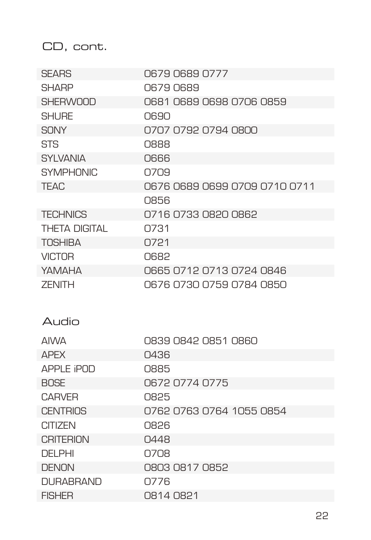CD, cont.

| <b>SEARS</b>         | 0679 0689 0777                |
|----------------------|-------------------------------|
| <b>SHARP</b>         | 0679 0689                     |
| <b>SHERWOOD</b>      | 0681 0689 0698 0706 0859      |
| <b>SHI IRF</b>       | 0690                          |
| SONY                 | 0707 0792 0794 0800           |
| <b>STS</b>           | <b>CBBB</b>                   |
| <b>SYLVANIA</b>      | <b>NG66</b>                   |
| <b>SYMPHONIC</b>     | 0709                          |
| <b>TEAC</b>          | 0676 0689 0699 0709 0710 0711 |
|                      | <b>Q856</b>                   |
| <b>TECHNICS</b>      | 0716 0733 0820 0862           |
| <b>THETA DIGITAL</b> | O731                          |
| <b>TOSHIBA</b>       | 0721                          |
| <b>VICTOR</b>        | <b>O682</b>                   |
| YAMAHA               | 0665 0712 0713 0724 0846      |
| <b>7FNITH</b>        | 0676 0730 0759 0784 0850      |
|                      |                               |
|                      |                               |
| Audio                |                               |
| <b>AIWA</b>          | 0839 0842 0851 0860           |
| <b>APFX</b>          | 0436                          |
| APPI F iPND          | 0885                          |
| <b>BOSE</b>          | 0672 0774 0775                |
| <b>CARVER</b>        | 0825                          |
| <b>CENTRIOS</b>      | 0762 0763 0764 1055 0854      |
| <b>CITIZEN</b>       | 0826                          |
| <b>CRITERION</b>     | 0448                          |
| <b>DEI PHI</b>       | 0708                          |
| <b>DENON</b>         | 0803 0817 0852                |
| DI JRARRAND          | 0776                          |
| <b>FISHER</b>        | 0814 0821                     |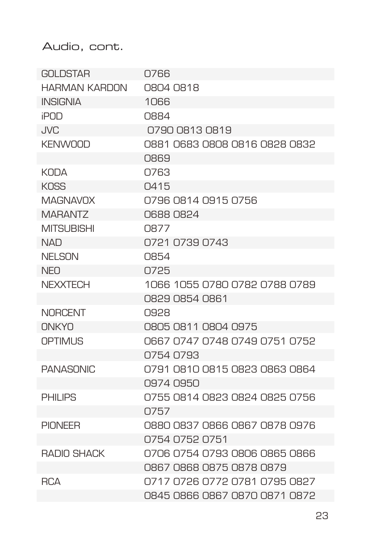Audio, cont.

| <b>GOLDSTAR</b>      | 0766                          |
|----------------------|-------------------------------|
| <b>HARMAN KARDON</b> | 0804 0818                     |
| <b>INSIGNIA</b>      | 1066                          |
| <b>iPOD</b>          | 0884                          |
| , IVC                | 0790 0813 0819                |
| <b>KFNWOOD</b>       | 0881 0683 0808 0816 0828 0832 |
|                      | 0869                          |
| <b>KODA</b>          | O763                          |
| KNSS                 | Q415                          |
| <b>MAGNAVOX</b>      | 0796 0814 0915 0756           |
| <b>MARANTZ</b>       | O688 O824                     |
| <b>MITSUBISHI</b>    | O877                          |
| <b>NAD</b>           | 0721 0739 0743                |
| <b>NELSON</b>        | 0854                          |
| <b>NFO</b>           | 0725                          |
| <b>NEXXTECH</b>      | 1066 1055 0780 0782 0788 0789 |
|                      | 0829 0854 0861                |
| <b>NORCENT</b>       | 0928                          |
| ONKYO                | 0805 0811 0804 0975           |
| <b>OPTIMUS</b>       | 0667 0747 0748 0749 0751 0752 |
|                      | 0754 0793                     |
| <b>PANASONIC</b>     | 0791 0810 0815 0823 0863 0864 |
|                      | 0974 0950                     |
| PHII IPS             | 0755 0814 0823 0824 0825 0756 |
|                      | 0757                          |
| <b>PIONEER</b>       | 0880 0837 0866 0867 0878 0976 |
|                      | 0754 0752 0751                |
| <b>RADIO SHACK</b>   | 0706 0754 0793 0806 0865 0866 |
|                      | 0867 0868 0875 0878 0879      |
| <b>RCA</b>           | 0717 0726 0772 0781 0795 0827 |
|                      | 0845 0866 0867 0870 0871 0872 |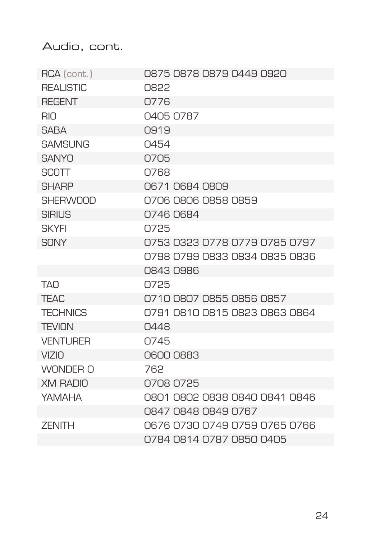Audio, cont.

| RCA (cont.)      | 0875 0878 0879 0449 0920      |
|------------------|-------------------------------|
| <b>REALISTIC</b> | 0822                          |
| <b>REGENT</b>    | 0776                          |
| <b>RIO</b>       | 0405 0787                     |
| SARA             | 0919                          |
| <b>SAMSUNG</b>   | 0454                          |
| SANYO            | 0705                          |
| <b>SCOTT</b>     | 0768                          |
| <b>SHARP</b>     | 0671 0684 0809                |
| <b>SHERWOOD</b>  | 0706 0806 0858 0859           |
| <b>SIRIUS</b>    | 0746 0684                     |
| <b>SKYFI</b>     | 0725                          |
| SONY             | 0753 0323 0778 0779 0785 0797 |
|                  | 0798 0799 0833 0834 0835 0836 |
|                  | 0843 0986                     |
| <b>TAN</b>       | 0725                          |
| <b>TEAC</b>      | 0710 0807 0855 0856 0857      |
| <b>TECHNICS</b>  | 0791 0810 0815 0823 0863 0864 |
| <b>TEVION</b>    | 0448                          |
| <b>VENTURER</b>  | 0745                          |
| VZID             | 0600 0883                     |
| WONDER O         | 762                           |
| <b>XM RADIO</b>  | 0708 0725                     |
| ΥΔΜΔΗΔ           | 0801 0802 0838 0840 0841 0846 |
|                  | 0847 0848 0849 0767           |
| <b>ZENITH</b>    | 0676 0730 0749 0759 0765 0766 |
|                  | 0784 0814 0787 0850 0405      |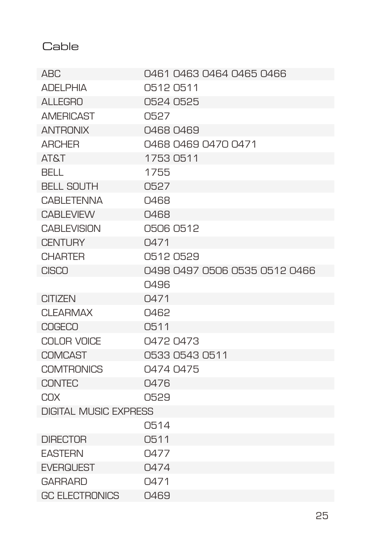Cable

| ARC                          | 0461 0463 0464 0465 0466      |  |
|------------------------------|-------------------------------|--|
| <b>ADELPHIA</b>              | 05120511                      |  |
| <b>ALLEGRO</b>               | 0524 0525                     |  |
| <b>AMERICAST</b>             | 0527                          |  |
| <b>ANTRONIX</b>              | 0468 0469                     |  |
| <b>ARCHER</b>                | 0468 0469 0470 0471           |  |
| <b>AT&amp;T</b>              | 1753 0511                     |  |
| BFI I                        | 1755                          |  |
| <b>BELL SOUTH</b>            | 0527                          |  |
| <b>CABLETENNA</b>            | 0468                          |  |
| <b>CABLEVIEW</b>             | 0468                          |  |
| <b>CABLEVISION</b>           | 0506 0512                     |  |
| <b>CENTURY</b>               | 0471                          |  |
| <b>CHARTER</b>               | 0512 0529                     |  |
| <b>CISCO</b>                 | 0498 0497 0506 0535 0512 0466 |  |
|                              | 0496                          |  |
| <b>CITIZEN</b>               | 0471                          |  |
| CI FARMAX                    | Q462                          |  |
| <b>COGECO</b>                | 0511                          |  |
| COLOR VOICE                  | 0472 0473                     |  |
| <b>COMCAST</b>               | 0533 0543 0511                |  |
| <b>COMTRONICS</b>            | 0474 0475                     |  |
| <b>CONTEC</b>                | 0476                          |  |
| COX                          | 0529                          |  |
| <b>DIGITAL MUSIC EXPRESS</b> |                               |  |
|                              | 0514                          |  |
| <b>DIRECTOR</b>              | 0511                          |  |
| <b>EASTERN</b>               | 0477                          |  |
| <b>EVERQUEST</b>             | 0474                          |  |
| <b>GARRARD</b>               | 0471                          |  |
| <b>GC ELECTRONICS</b>        | 0469                          |  |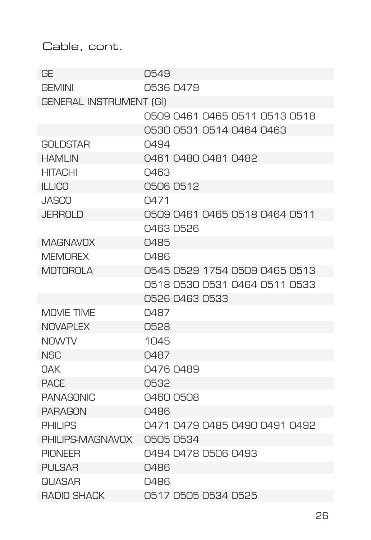#### Cable, cont.

| GE                             | 0549                          |
|--------------------------------|-------------------------------|
| <b>GEMINI</b>                  | 0536 0479                     |
| <b>GENERAL INSTRUMENT (GI)</b> |                               |
|                                | 0509 0461 0465 0511 0513 0518 |
|                                | 0530 0531 0514 0464 0463      |
| <b>GOLDSTAR</b>                | 0494                          |
| <b>HAMLIN</b>                  | 0461 0480 0481 0482           |
| <b>HITACHI</b>                 | 0463                          |
| <b>ILLICO</b>                  | 0506 0512                     |
| <b>JASCO</b>                   | Q471                          |
| <b>JERROLD</b>                 | 0509 0461 0465 0518 0464 0511 |
|                                | 04630526                      |
| <b>MAGNAVOX</b>                | Q485                          |
| <b>MEMOREX</b>                 | 0486                          |
| <b>MOTOROLA</b>                | 0545 0529 1754 0509 0465 0513 |
|                                | 0518 0530 0531 0464 0511 0533 |
|                                | 0526 0463 0533                |
| MOVIF TIMF                     | 0487                          |
| <b>NOVAPLEX</b>                | 0528                          |
| <b>NOWTV</b>                   | 1045                          |
| <b>NSC</b>                     | 0487                          |
| <b>NAK</b>                     | 0476 0489                     |
| <b>PACF</b>                    | 0532                          |
| <b>PANASONIC</b>               | 0460 0508                     |
| <b>PARAGON</b>                 | 0486                          |
| <b>PHILIPS</b>                 | 0471 0479 0485 0490 0491 0492 |
| PHILIPS-MAGNAVOX               | 0505 0534                     |
| <b>PIONEER</b>                 | 0494 0478 0506 0493           |
| <b>PULSAR</b>                  | 0486                          |
| <b>QI JASAR</b>                | 0486                          |
| <b>RADIO SHACK</b>             | 0517 0505 0534 0525           |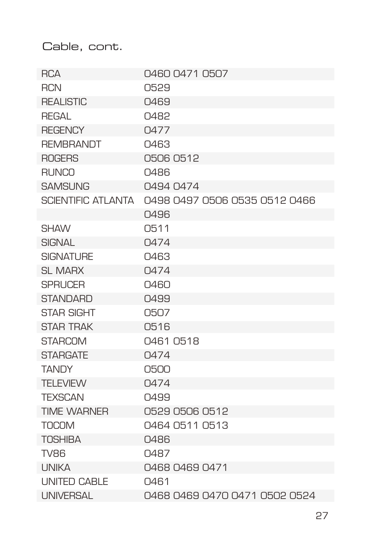Cable, cont.

| <b>RCA</b>                | 0460 0471 0507                |
|---------------------------|-------------------------------|
| <b>RCN</b>                | 0529                          |
| <b>REALISTIC</b>          | 0469                          |
| REGAL                     | 0482                          |
| <b>REGENCY</b>            | 0477                          |
| <b>REMBRANDT</b>          | 0463                          |
| <b>ROGERS</b>             | 0506 0512                     |
| <b>RUNCO</b>              | 0486                          |
| <b>SAMSUNG</b>            | 0494 0474                     |
| <b>SCIENTIFIC ATLANTA</b> | 0498 0497 0506 0535 0512 0466 |
|                           | 04.96                         |
| <b>SHAW</b>               | 0511                          |
| <b>SIGNAL</b>             | 0474                          |
| <b>SIGNATURE</b>          | 0463                          |
| SI MARX                   | 0474                          |
| <b>SPRUCER</b>            | 0460                          |
| <b>STANDARD</b>           | 0499                          |
| <b>STAR SIGHT</b>         | 0507                          |
| <b>STAR TRAK</b>          | 0516                          |
| <b>STARCOM</b>            | 0461 0518                     |
| <b>STARGATE</b>           | 0474                          |
| <b>TANDY</b>              | 0500                          |
| <b>TELEVIEW</b>           | 0474                          |
| <b>TEXSCAN</b>            | 0499                          |
| <b>TIME WARNER</b>        | 0529 0506 0512                |
| <b>TOCOM</b>              | 0464 0511 0513                |
| <b>TOSHIBA</b>            | 0486                          |
| <b>TV86</b>               | 0487                          |
| <b>UNIKA</b>              | 0468 0469 0471                |
| <b>UNITED CABLE</b>       | 0461                          |
| <b>UNIVERSAL</b>          | 0468 0469 0470 0471 0502 0524 |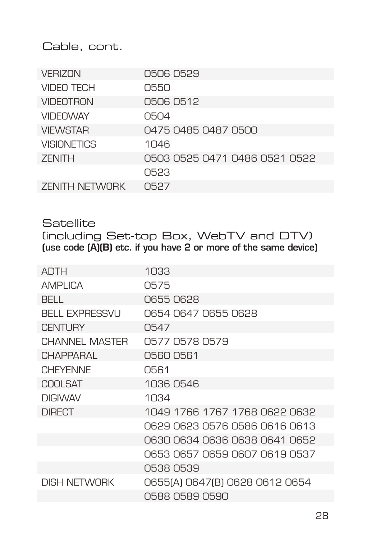Cable, cont.

| <b>VERIZON</b>        | 0506 0529                     |
|-----------------------|-------------------------------|
| <b>VIDEO TECH</b>     | 0550                          |
| <b>VIDEOTRON</b>      | 0506 0512                     |
| <b>VIDEOWAY</b>       | 0504                          |
| <b>VIEWSTAR</b>       | 0475 0485 0487 0500           |
| <b>VISIONETICS</b>    | 1 <sub>046</sub>              |
| <b>ZENITH</b>         | 0503 0525 0471 0486 0521 0522 |
|                       | 0523                          |
| <b>ZENITH NETWORK</b> | 0527                          |

**Satellite** (including Set-top Box, WebTV and DTV) (use code (A)(B) etc. if you have 2 or more of the same device)

| <b>ADTH</b>           | 1033                           |
|-----------------------|--------------------------------|
| <b>AMPLICA</b>        | 0575                           |
| BELL.                 | 0655 0628                      |
| <b>BELL EXPRESSVU</b> | 0654 0647 0655 0628            |
| <b>CENTURY</b>        | 0547                           |
| CHANNEL MASTER        | 0577 0578 0579                 |
| <b>CHAPPARAL</b>      | 0560 0561                      |
| <b>CHEYENNE</b>       | 0561                           |
| <b>COOLSAT</b>        | 1036 0546                      |
| <b>DIGIVAY</b>        | 1034                           |
| <b>DIRECT</b>         | 1049 1766 1767 1768 0622 0632  |
|                       | 0629 0623 0576 0586 0616 0613  |
|                       | 0630 0634 0636 0638 0641 0652  |
|                       | 0653 0657 0659 0607 0619 0537  |
|                       | 0538 0539                      |
| DISH NFTWORK          | 0655(A) 0647(B) 0628 0612 0654 |
|                       | 0588 0589 0590                 |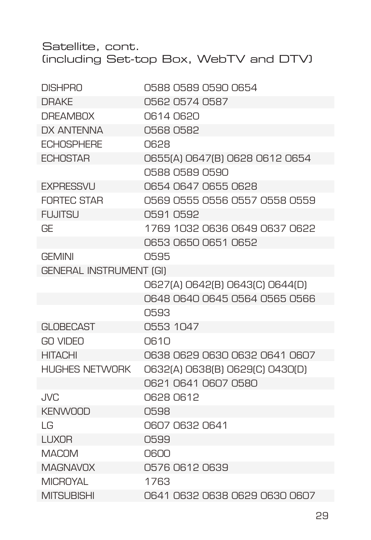Satellite, cont. (including Set-top Box, WebTV and DTV)

| <b>DISHPRO</b>                 | 0588 0589 0590 0654             |
|--------------------------------|---------------------------------|
| <b>DRAKE</b>                   | 0562 0574 0587                  |
| <b>DREAMBOX</b>                | 06140620                        |
| <b>DX ANTENNA</b>              | 05680582                        |
| <b>ECHOSPHERE</b>              | 0628                            |
| <b>ECHOSTAR</b>                | 0655(A) 0647(B) 0628 0612 0654  |
|                                | 0588 0589 0590                  |
| <b>EXPRESSVU</b>               | 0654 0647 0655 0628             |
| <b>FORTEC STAR</b>             | 0569 0555 0556 0557 0558 0559   |
| <b>FUJITSU</b>                 | 0591 0592                       |
| GE                             | 1769 1032 0636 0649 0637 0622   |
|                                | 0653 0650 0651 0652             |
| <b>GEMINI</b>                  | 0595                            |
| <b>GENERAL INSTRUMENT (GI)</b> |                                 |
|                                | 0627(A) 0642(B) 0643(C) 0644(D) |
|                                | 0648 0640 0645 0564 0565 0566   |
|                                | 0593                            |
| <b>GLOBECAST</b>               | 0553 1047                       |
| <b>GO VIDEO</b>                | <b>N610</b>                     |
| <b>HITACHI</b>                 | 0638 0629 0630 0632 0641 0607   |
| <b>HUGHES NETWORK</b>          | 0632(A) 0638(B) 0629(C) 0430(D) |
|                                | 0621 0641 0607 0580             |
| <b>JVC</b>                     | 0628 0612                       |
| <b>KENWOOD</b>                 | 0598                            |
| $\overline{G}$                 | 0607 0632 0641                  |
| <b>LUXOR</b>                   | 0599                            |
| <b>MACOM</b>                   | 0600                            |
| <b>MAGNAVOX</b>                | 0576 0612 0639                  |
| <b>MICROYAL</b>                | 1763                            |
| <b>MITSUBISHI</b>              | 0641 0632 0638 0629 0630 0607   |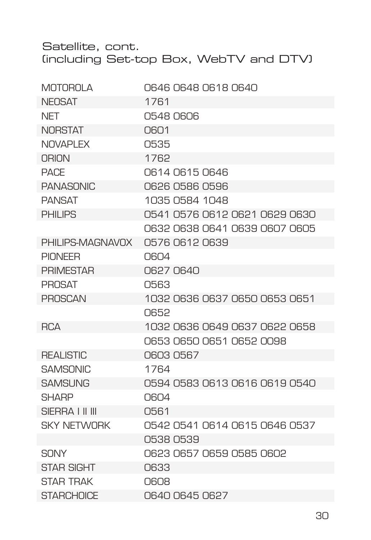#### Satellite, cont. (including Set-top Box, WebTV and DTV)

| <b>MOTOROLA</b>    | 0646 0648 0618 0640           |
|--------------------|-------------------------------|
| <b>NEOSAT</b>      | 1761                          |
| NET                | 0548 0606                     |
| <b>NORSTAT</b>     | 0601                          |
| NOVAPI FX          | 0535                          |
| ORION              | 1762                          |
| <b>PACF</b>        | 0614 0615 0646                |
| <b>PANASONIC</b>   | 0626 0586 0596                |
| <b>PANSAT</b>      | 1035 0584 1048                |
| PHII IPS           | 0541 0576 0612 0621 0629 0630 |
|                    | 0632 0638 0641 0639 0607 0605 |
| PHILIPS-MAGNAVOX   | 0576 0612 0639                |
| <b>PIONEER</b>     | 0604                          |
| <b>PRIMESTAR</b>   | 0627 0640                     |
| <b>PROSAT</b>      | 0563                          |
| <b>PROSCAN</b>     | 1032 0636 0637 0650 0653 0651 |
|                    | O652                          |
| <b>RCA</b>         | 1032 0636 0649 0637 0622 0658 |
|                    | 0653 0650 0651 0652 0098      |
| <b>REALISTIC</b>   | 06030567                      |
| <b>SAMSONIC</b>    | 1764                          |
| <b>SAMSUNG</b>     | 0594 0583 0613 0616 0619 0540 |
| <b>SHARP</b>       | 0604                          |
| SIFRRA I II III    | 0561                          |
| <b>SKY NETWORK</b> | 0542 0541 0614 0615 0646 0537 |
|                    | 0538 0539                     |
| <b>SONY</b>        | 0623 0657 0659 0585 0602      |
| <b>STAR SIGHT</b>  | 0633                          |
| <b>STAR TRAK</b>   | 0608                          |
| <b>STARCHOICE</b>  | 0640 0645 0627                |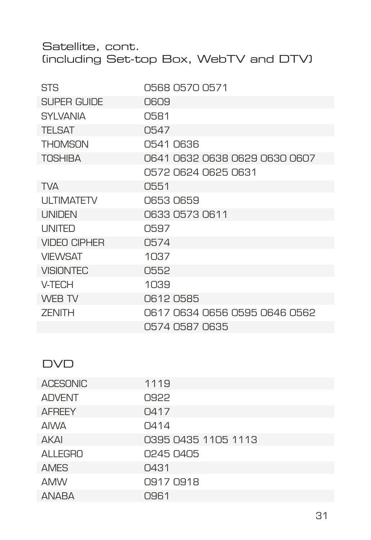Satellite, cont. (including Set-top Box, WebTV and DTV)

| STS                 | 0568 0570 0571                |
|---------------------|-------------------------------|
| SUPER GUIDE         | 0609                          |
| <b>SYLVANIA</b>     | 0581                          |
| <b>TELSAT</b>       | 0547                          |
| <b>THOMSON</b>      | 0541 0636                     |
| TOSHIBA             | 0641 0632 0638 0629 0630 0607 |
|                     | 0572 0624 0625 0631           |
| <b>TVA</b>          | 0551                          |
| <b>ULTIMATETV</b>   | 0653 0659                     |
| <b>UNIDEN</b>       | 0633 0573 0611                |
| <b>UNITED</b>       | 0597                          |
| <b>VIDEO CIPHER</b> | 0574                          |
| <b>VIEWSAT</b>      | 1037                          |
| <b>VISIONTEC</b>    | 0552                          |
| V-TECH              | 1039                          |
| WEB TV              | 06120585                      |
| <b>ZENITH</b>       | 0617 0634 0656 0595 0646 0562 |
|                     | 0574 0587 0635                |

#### DVD

| <b>ACESONIC</b> | 1119                |
|-----------------|---------------------|
| <b>ADVENT</b>   | 0922                |
| <b>AFREEY</b>   | 0417                |
| <b>AIWA</b>     | 0414                |
| AKAI            | 0395 0435 1105 1113 |
| <b>ALLEGRO</b>  | 0245 0405           |
| <b>AMES</b>     | 0431                |
| <b>AMW</b>      | 0917 0918           |
| <b>ANABA</b>    | 0961                |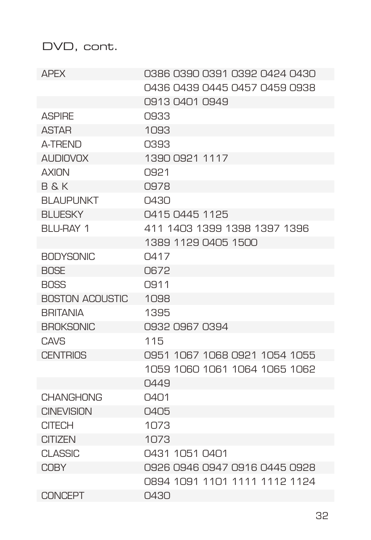| <b>APFX</b>            | 0386 0390 0391 0392 0424 0430 |
|------------------------|-------------------------------|
|                        | 0436 0439 0445 0457 0459 0938 |
|                        | 0913 0401 0949                |
| <b>ASPIRE</b>          | 0933                          |
| <b>ASTAR</b>           | 1093                          |
| A-TRFND                | 0393                          |
| <b>AUDIOVOX</b>        | 1390 0921 1117                |
| <b>AXION</b>           | 0921                          |
| R & K                  | 0978                          |
| <b>BLAUPUNKT</b>       | $\bigcap$ 430                 |
| <b>BLUESKY</b>         | 0415 0445 1125                |
| RI I I-RAY 1           | 411 1403 1399 1398 1397 1396  |
|                        | 1389 1129 0405 1500           |
| <b>BODYSONIC</b>       | Q417                          |
| <b>BOSE</b>            | 0672                          |
| <b>BOSS</b>            | O.911                         |
| <b>BOSTON ACOUSTIC</b> | 1098                          |
| <b>BRITANIA</b>        | 1395                          |
| <b>BROKSONIC</b>       | 0932 0967 0394                |
| CAVS                   | 115                           |
| <b>CENTRIOS</b>        | 0951 1067 1068 0921 1054 1055 |
|                        | 1059 1060 1061 1064 1065 1062 |
|                        | 0449                          |
| <b>CHANGHONG</b>       | $\bigcap$ 4 $\bigcap$ 1       |
| <b>CINEVISION</b>      | 0405                          |
| <b>CITECH</b>          | 1073                          |
| <b>CITIZEN</b>         | 1073                          |
| <b>CLASSIC</b>         | 0431 1051 0401                |
| <b>COBY</b>            | 0926 0946 0947 0916 0445 0928 |
|                        | 0894 1091 1101 1111 1112 1124 |
| CONCEPT                | 0430                          |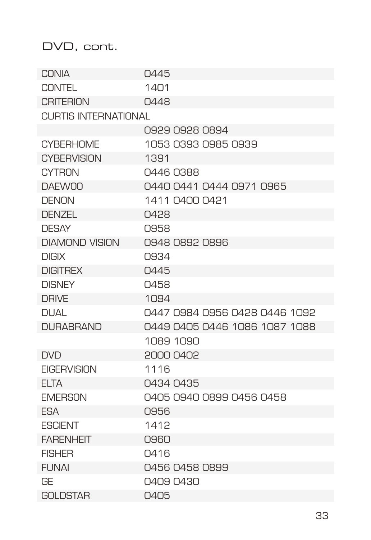| CONIA                       | 0445                          |
|-----------------------------|-------------------------------|
| <b>CONTEL</b>               | 1401                          |
| <b>CRITERION</b>            | 0448                          |
| <b>CURTIS INTERNATIONAL</b> |                               |
|                             | 0929 0928 0894                |
| <b>CYBERHOME</b>            | 1053 0393 0985 0939           |
| <b>CYBERVISION</b>          | 1391                          |
| CYTRON                      | 0446 0388                     |
| <b>DAFWOO</b>               | 0440 0441 0444 0971 0965      |
| <b>DENON</b>                | 1411 0400 0421                |
| DENZEL                      | 0428                          |
| <b>DESAY</b>                | 0958                          |
| <b>DIAMOND VISION</b>       | 0948 0892 0896                |
| <b>DIGIX</b>                | 0934                          |
| <b>DIGITREX</b>             | 0445                          |
| <b>DISNEY</b>               | 0458                          |
| <b>DRIVE</b>                | 1094                          |
| <b>DUAL</b>                 | 0447 0984 0956 0428 0446 1092 |
| <b>DURABRAND</b>            | 0449 0405 0446 1086 1087 1088 |
|                             | 1089 1090                     |
| <b>DVD</b>                  | 2000 0402                     |
| <b>EIGERVISION</b>          | 1116                          |
| FI TA                       | 0434 0435                     |
| <b>EMERSON</b>              | 0405 0940 0899 0456 0458      |
| <b>FSA</b>                  | 0956                          |
| <b>FSCIENT</b>              | 1412                          |
| <b>FARENHEIT</b>            | 0960                          |
| <b>FISHER</b>               | 0416                          |
| <b>FI INAI</b>              | 0456 0458 0899                |
| GF                          | 0409 0430                     |
| <b>GOLDSTAR</b>             | 0405                          |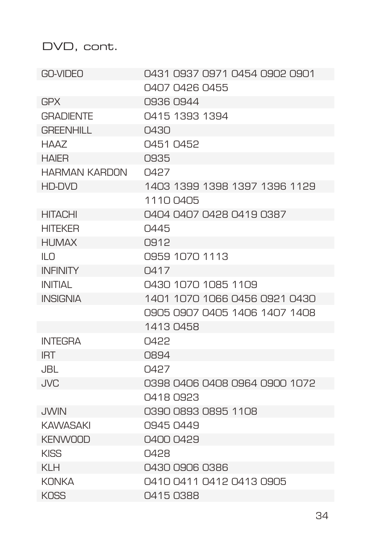| GO-VIDEO              | 0431 0937 0971 0454 0902 0901 |
|-----------------------|-------------------------------|
|                       | 0407 0426 0455                |
| <b>GPX</b>            | 0936 0944                     |
| <b>GRADIENTE</b>      | 0415 1393 1394                |
| <b>GRFFNHILL</b>      | $\bigcap$ 430                 |
| HAA7                  | 0451 0452                     |
| <b>HAIER</b>          | 0935                          |
| <b>HARMAN KARDON</b>  | 0427                          |
| HD-DVD                | 1403 1399 1398 1397 1396 1129 |
|                       | 1110 0405                     |
| <b>HITACHI</b>        | 0404 0407 0428 0419 0387      |
| <b>HITEKER</b>        | 0445                          |
| <b>HUMAX</b>          | 0912                          |
| $\mathbb{I}$ $\Omega$ | 0959 1070 1113                |
| <b>INFINITY</b>       | Q417                          |
| <b>INITIAL</b>        | 0430 1070 1085 1109           |
| <b>INSIGNIA</b>       | 1401 1070 1066 0456 0921 0430 |
|                       | 0905 0907 0405 1406 1407 1408 |
|                       | 1413 0458                     |
| <b>INTFGRA</b>        | <b>N422</b>                   |
| <b>IRT</b>            | 0894                          |
| JBL.                  | Q427                          |
| <b>JVC</b>            | 0398 0406 0408 0964 0900 1072 |
|                       | 0418 0923                     |
| <b>JWIN</b>           | 0390 0893 0895 1108           |
| <b>KAWASAKI</b>       | 0945 0449                     |
| <b>KENWOOD</b>        | 0400 0429                     |
| <b>KISS</b>           | Q428                          |
| KI H                  | 0430 0906 0386                |
| <b>KONKA</b>          | 0410 0411 0412 0413 0905      |
| <b>KOSS</b>           | 0415 0388                     |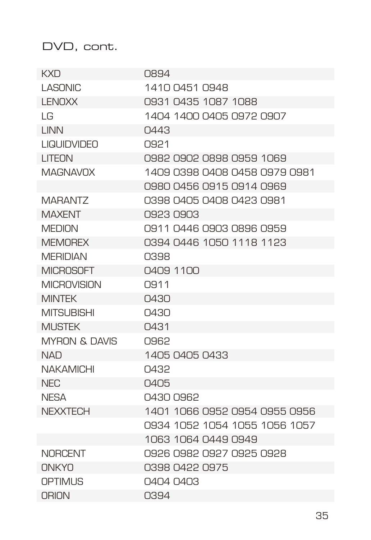| KXD                      | 0894                          |
|--------------------------|-------------------------------|
| <b>LASONIC</b>           | 1410 0451 0948                |
| <b>LENOXX</b>            | 0931 0435 1087 1088           |
| I G                      | 1404 1400 0405 0972 0907      |
| I INN                    | 0443                          |
| <b>LIQUIDVIDEO</b>       | O.921                         |
| LITEON                   | 0982 0902 0898 0959 1069      |
| ΜΑGΝΑVΩΧ                 | 1409 0398 0408 0458 0979 0981 |
|                          | 0980 0456 0915 0914 0969      |
| MARANTZ                  | 0398 0405 0408 0423 0981      |
| <b>MAXFNT</b>            | 0923 0903                     |
| <b>MEDION</b>            | 0911 0446 0903 0896 0959      |
| <b>MFMORFX</b>           | 0394 0446 1050 1118 1123      |
| <b>MFRIDIAN</b>          | 0398                          |
| <b>MICROSOFT</b>         | N4N9 11NN                     |
| <b>MICROVISION</b>       | 0911                          |
| <b>MINTEK</b>            | 0430                          |
| <b>MITSLIBISHI</b>       | 0430                          |
| <b>MI ISTEK</b>          | 0431                          |
| <b>MYRON &amp; DAVIS</b> | 0.962                         |
| <b>NAD</b>               | 1405 0405 0433                |
| <b>NAKAMICHI</b>         | 0432                          |
| NFC                      | 0405                          |
| <b>NESA</b>              | 0430 0962                     |
| <b>NEXXTECH</b>          | 1401 1066 0952 0954 0955 0956 |
|                          | 0934 1052 1054 1055 1056 1057 |
|                          | 1063 1064 0449 0949           |
| <b>NORCENT</b>           | 0926 0982 0927 0925 0928      |
| ONKYO                    | 0398 0422 0975                |
| OPTIMI IS                | N4N4 N4N3                     |
| <b>ORION</b>             | 0394                          |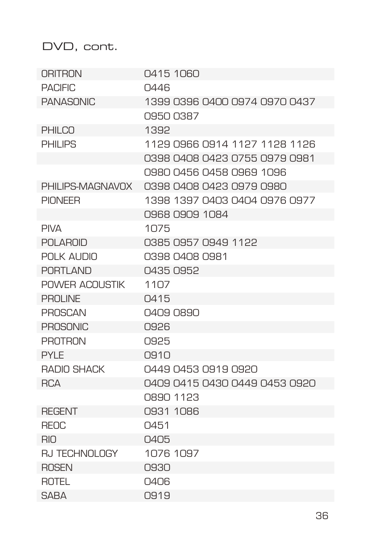| ORITRON              | 0415 1060                     |
|----------------------|-------------------------------|
| <b>PACIFIC</b>       | 0446                          |
| <b>PANASONIC</b>     | 1399 0396 0400 0974 0970 0437 |
|                      | 09500387                      |
| <b>PHILCO</b>        | 1392                          |
| PHII IPS             | 1129 0966 0914 1127 1128 1126 |
|                      | 0398 0408 0423 0755 0979 0981 |
|                      | 0980 0456 0458 0969 1096      |
| PHILIPS-MAGNAVOX     | 0398 0408 0423 0979 0980      |
| <b>PIONFFR</b>       | 1398 1397 0403 0404 0976 0977 |
|                      | 0968 0909 1084                |
| <b>PIVA</b>          | 1075                          |
| POI AROID            | 0385 0957 0949 1122           |
| POI K ALIDIO         | 0398 0408 0981                |
| <b>PORTLAND</b>      | 0435 0952                     |
| POWER ACOUSTIK       | 1107                          |
| PROI INF             | 0415                          |
| <b>PROSCAN</b>       | 0409 0890                     |
| <b>PROSONIC</b>      | 0926                          |
| PROTRON              | 0925                          |
| PYI F                | $\bigcap$ 910                 |
| RADIO SHACK          | 0449 0453 0919 0920           |
| <b>RCA</b>           | 0409 0415 0430 0449 0453 0920 |
|                      | 0890 1123                     |
| <b>REGENT</b>        | 0931 1086                     |
| <b>REOC</b>          | 0451                          |
| RIO                  | 0405                          |
| <b>RJ TECHNOLOGY</b> | 1076 1097                     |
| <b>ROSEN</b>         | 0930                          |
| ROTEL                | 0406                          |
| <b>SABA</b>          | 0919                          |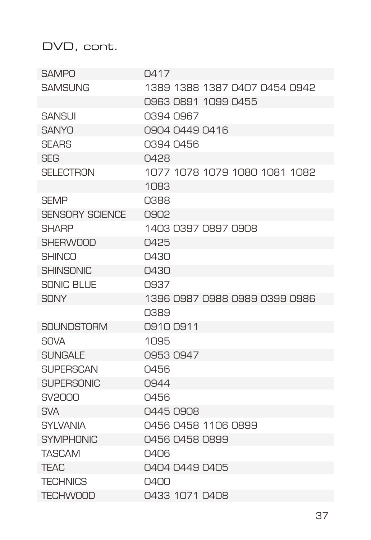| <b>SAMPO</b>           | Q417                          |
|------------------------|-------------------------------|
| <b>SAMSUNG</b>         | 1389 1388 1387 0407 0454 0942 |
|                        | 0963 0891 1099 0455           |
| <b>SANSUI</b>          | 0394 0967                     |
| <b>SANYO</b>           | 0904 0449 0416                |
| <b>SFARS</b>           | 0394 0456                     |
| <b>SEG</b>             | 0428                          |
| <b>SELECTRON</b>       | 1077 1078 1079 1080 1081 1082 |
|                        | 1083                          |
| <b>SFMP</b>            | 0388                          |
| <b>SENSORY SCIENCE</b> | 0.902                         |
| <b>SHARP</b>           | 1403 0397 0897 0908           |
| <b>SHERWOOD</b>        | 0425                          |
| <b>SHINCO</b>          | $\bigcap$ 430                 |
| <b>SHINSONIC</b>       | 0430                          |
| <b>SONIC BLUE</b>      | 0937                          |
| <b>SONY</b>            | 1396 0987 0988 0989 0399 0986 |
|                        | 0389                          |
| <b>SOUNDSTORM</b>      | 0910 0911                     |
| <b>SOVA</b>            | 1095                          |
| <b>SUNGALE</b>         | 09530947                      |
| <b>SUPERSCAN</b>       | 0456                          |
| <b>SUPERSONIC</b>      | 0944                          |
| SV2000                 | 0456                          |
| SVA                    | 0445 0.908                    |
| SYI VANIA              | 0456 0458 1106 0899           |
| <b>SYMPHONIC</b>       | 0456 0458 0899                |
| <b>TASCAM</b>          | 0406                          |
| <b>TEAC</b>            | 0404 0449 0405                |
| <b>TECHNICS</b>        | N4NN                          |
| <b>TECHWOOD</b>        | 0433 1071 0408                |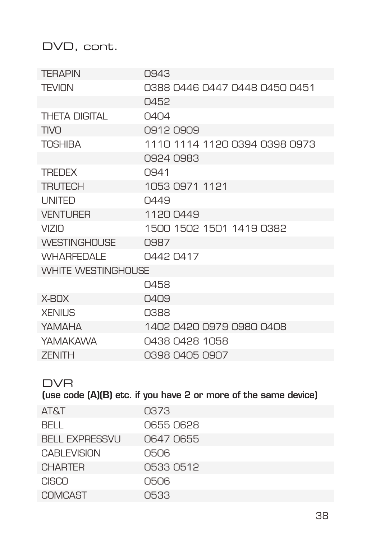| <b>TFRAPIN</b>      | 0943                          |
|---------------------|-------------------------------|
| <b>TFVION</b>       | 0388 0446 0447 0448 0450 0451 |
|                     | 0452                          |
| THFTA DIGITAL       | $\bigcap$ 4 $\bigcap$ 4       |
| TIVO                | 09120909                      |
| <b>TOSHIBA</b>      | 1110 1114 1120 0394 0398 0973 |
|                     | 0924 0983                     |
| <b>TREDEX</b>       | 0.941                         |
| <b>TRIJTECH</b>     | 1053 0971 1121                |
| <b>LINITED</b>      | 0449                          |
| <b>VENTURER</b>     | 1120 0449                     |
| VIZIO               | 1500 1502 1501 1419 0382      |
| <b>WESTINGHOUSE</b> | <b>0987</b>                   |
| <b>WHARFFDALF</b>   | 0442 0417                     |
| WHITE WESTINGHOUSE  |                               |
|                     | 0458                          |
| X-BOX               | 0409                          |
| <b>XFNILIS</b>      | 0388                          |
| YAMAHA              | 1402 0420 0979 0980 0408      |
| YAMAKAWA            | 0438 0428 1058                |
| <b>7FNITH</b>       | 0398 0405 0907                |

#### DVR

(use code (A)(B) etc. if you have 2 or more of the same device)

| <b>AT&amp;T</b>       | 0373      |
|-----------------------|-----------|
| BELL.                 | 0655 0628 |
| <b>BELL EXPRESSVU</b> | 0647 0655 |
| <b>CABLEVISION</b>    | 0506      |
| <b>CHARTER</b>        | 0533 0512 |
| CISCO                 | 0506      |
| COMCAST               | 0533      |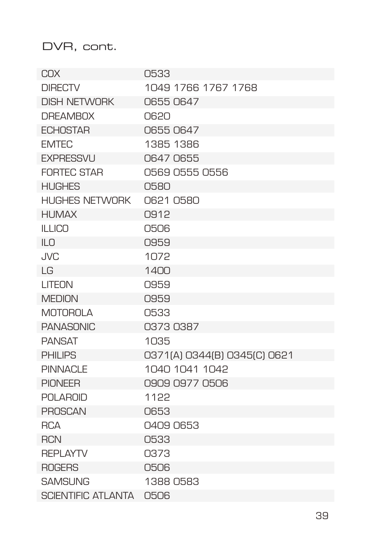DVR, cont.

| COX                       | 0533                         |
|---------------------------|------------------------------|
| <b>DIRECTV</b>            | 1049 1766 1767 1768          |
| <b>DISH NETWORK</b>       | 06550647                     |
| <b>DREAMBOX</b>           | 0620                         |
| <b>FCHOSTAR</b>           | 06550647                     |
| <b>FMTFC</b>              | 1385 1386                    |
| <b>EXPRESSVU</b>          | 0647 0655                    |
| <b>FORTEC STAR</b>        | 0569 0555 0556               |
| <b>HUGHES</b>             | 0580                         |
| <b>HUGHES NETWORK</b>     | 0621 0580                    |
| <b>HUMAX</b>              | 0912                         |
| <b>ILLICO</b>             | 0506                         |
| ILO                       | 0959                         |
| <b>JVC</b>                | 1072                         |
| $\overline{G}$            | 1400                         |
| LITEON                    | 0959                         |
| <b>MEDION</b>             | 0959                         |
| <b>MOTOROLA</b>           | 0533                         |
| <b>PANASONIC</b>          | 03730387                     |
| <b>PANSAT</b>             | 1035                         |
| <b>PHILIPS</b>            | 0371(A) 0344(B) 0345(C) 0621 |
| <b>PINNACLE</b>           | 1040 1041 1042               |
| <b>PIONEER</b>            | 0909 0977 0506               |
| <b>POLAROID</b>           | 1122                         |
| <b>PROSCAN</b>            | 0653                         |
| <b>RCA</b>                | 0409 0653                    |
| <b>RCN</b>                | 0533                         |
| <b>REPLAYTV</b>           | 0373                         |
| <b>ROGERS</b>             | 0506                         |
| <b>SAMSUNG</b>            | 1388 0583                    |
| <b>SCIENTIFIC ATLANTA</b> | 0506                         |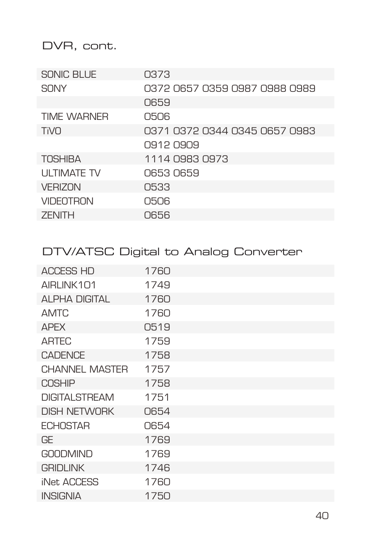# DVR, cont.

| SONIC BLUE         | 0373                          |
|--------------------|-------------------------------|
| SONY               | 0372 0657 0359 0987 0988 0989 |
|                    | 0659                          |
| <b>TIME WARNER</b> | 0506                          |
| <b>TiVO</b>        | 0371 0372 0344 0345 0657 0983 |
|                    | 0.912 0.90.9                  |
| <b>TOSHIBA</b>     | 1114 0983 0973                |
| <b>ULTIMATE TV</b> | 0653 0659                     |
| <b>VERIZON</b>     | 0533                          |
| <b>VIDEOTRON</b>   | 0506                          |
| <b>ZENITH</b>      | 0656                          |

# DTV/ATSC Digital to Analog Converter

| <b>ACCESS HD</b>      | 1760 |
|-----------------------|------|
| AIRLINK101            | 1749 |
| ALPHA DIGITAL         | 1760 |
| <b>AMTC</b>           | 1760 |
| <b>APEX</b>           | 0519 |
| <b>ARTEC</b>          | 1759 |
| <b>CADENCE</b>        | 1758 |
| <b>CHANNEL MASTER</b> | 1757 |
| <b>COSHIP</b>         | 1758 |
| <b>DIGITALSTREAM</b>  | 1751 |
| <b>DISH NETWORK</b>   | 0654 |
| <b>ECHOSTAR</b>       | 0654 |
| GF                    | 1769 |
| <b>GOODMIND</b>       | 1769 |
| <b>GRIDLINK</b>       | 1746 |
| iNet ACCESS           | 1760 |
| <b>INSIGNIA</b>       | 1750 |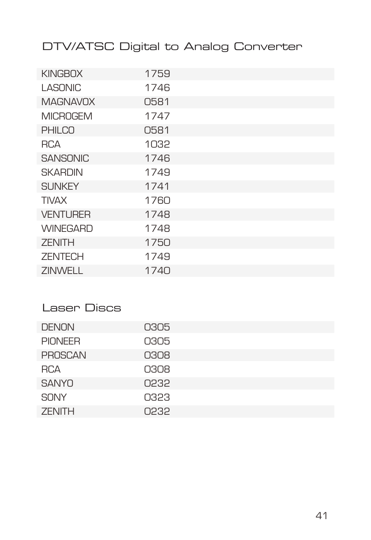# DTV/ATSC Digital to Analog Converter

| <b>KINGBOX</b>  | 1759 |
|-----------------|------|
| <b>LASONIC</b>  | 1746 |
| <b>MAGNAVOX</b> | 0581 |
| <b>MICROGEM</b> | 1747 |
| <b>PHILCO</b>   | 0581 |
| RCA             | 1032 |
| <b>SANSONIC</b> | 1746 |
| <b>SKARDIN</b>  | 1749 |
| <b>SUNKEY</b>   | 1741 |
| <b>TIVAX</b>    | 1760 |
| <b>VENTURER</b> | 1748 |
| <b>WINEGARD</b> | 1748 |
| <b>ZENITH</b>   | 1750 |
| <b>ZENTECH</b>  | 1749 |
| <b>ZINWELL</b>  | 1740 |

# Laser Discs

| <b>DENON</b>   | 0305 |
|----------------|------|
| <b>PIONEER</b> | 0305 |
| PROSCAN        | 0308 |
| <b>RCA</b>     | 0308 |
| <b>SANYO</b>   | 0232 |
| <b>SONY</b>    | 0323 |
| <b>ZENITH</b>  | 0232 |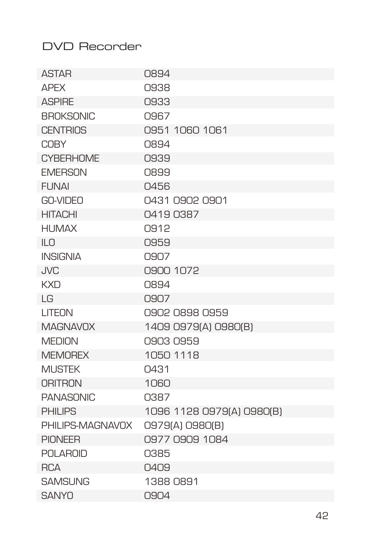# DVD Recorder

| <b>ASTAR</b>     | 0894                      |
|------------------|---------------------------|
| <b>APFX</b>      | 0938                      |
| <b>ASPIRF</b>    | 0933                      |
| <b>BROKSONIC</b> | 0967                      |
| <b>CENTRIOS</b>  | 0951 1060 1061            |
| <b>COBY</b>      | 0894                      |
| <b>CYBERHOME</b> | 0939                      |
| <b>FMFRSON</b>   | 0899                      |
| <b>FUNAI</b>     | 0456                      |
| GO-VIDEO         | 0431 0902 0901            |
| <b>HITACHI</b>   | 04190387                  |
| <b>HUMAX</b>     | 0912                      |
| ILO              | 0959                      |
| <b>INSIGNIA</b>  | 0907                      |
| <b>JVC</b>       | 0900 1072                 |
| <b>KXD</b>       | 0894                      |
| LG               | 0907                      |
| LITEON           | 0902 0898 0959            |
| <b>MAGNAVOX</b>  | 1409 0979(A) 0980(B)      |
| <b>MEDION</b>    | 0903 0959                 |
| <b>MEMOREX</b>   | 1050 1118                 |
| <b>MUSTEK</b>    | 0431                      |
| <b>ORITRON</b>   | 1060                      |
| <b>PANASONIC</b> | 0387                      |
| <b>PHILIPS</b>   | 1096 1128 0979(A) 0980(B) |
| PHILIPS-MAGNAVOX | 0979(A) 0980(B)           |
| <b>PIONEER</b>   | 0977 0909 1084            |
| <b>POLAROID</b>  | 0385                      |
| <b>RCA</b>       | 0409                      |
| <b>SAMSUNG</b>   | 1388 0891                 |
| <b>SANYO</b>     | 0904                      |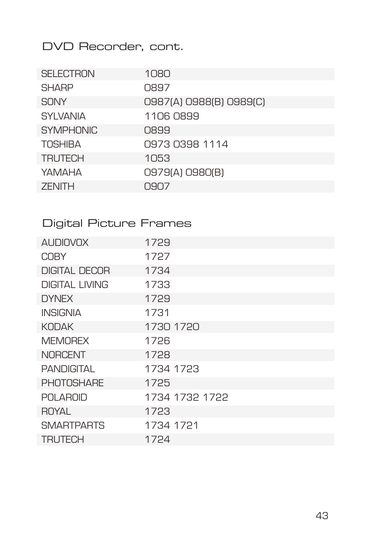DVD Recorder, cont.

| <b>SELECTRON</b> | 1080                    |
|------------------|-------------------------|
| <b>SHARP</b>     | 0897                    |
| <b>SONY</b>      | 0987(A) 0988(B) 0989(C) |
| <b>SYLVANIA</b>  | 1106 0899               |
| <b>SYMPHONIC</b> | 0899                    |
| <b>TOSHIBA</b>   | 0973 0398 1114          |
| <b>TRUTECH</b>   | 1053                    |
| YAMAHA           | 0979(A) 0980(B)         |
| <b>ZENITH</b>    | N.9N7                   |

# Digital Picture Frames

| <b>AUDIOVOX</b>       | 1729           |
|-----------------------|----------------|
| <b>COBY</b>           | 1727           |
| <b>DIGITAL DECOR</b>  | 1734           |
| <b>DIGITAL LIVING</b> | 1733           |
| <b>DYNEX</b>          | 1729           |
| <b>INSIGNIA</b>       | 1731           |
| <b>KODAK</b>          | 1730 1720      |
| <b>MEMOREX</b>        | 1726           |
| <b>NORCENT</b>        | 1728           |
| PANDIGITAI            | 1734 1723      |
| <b>PHOTOSHARE</b>     | 1725           |
| <b>POLAROID</b>       | 1734 1732 1722 |
| ROYAL                 | 1723           |
| <b>SMARTPARTS</b>     | 1734 1721      |
| TRUTECH               | 1724           |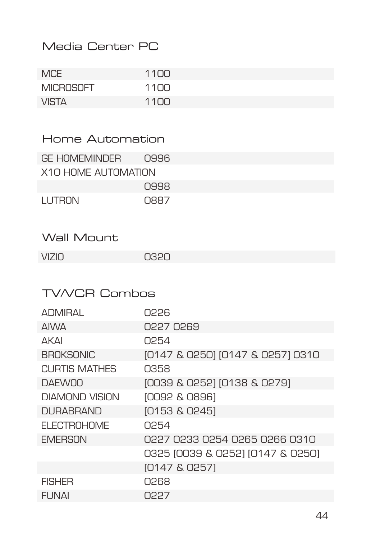# Media Center PC

| <b>MCE</b>       | 1100            |
|------------------|-----------------|
| <b>MICROSOFT</b> | 1100            |
| <b>VISTA</b>     | 11 <sub>0</sub> |

| Home Automation |  |  |  |
|-----------------|--|--|--|
|-----------------|--|--|--|

| GE HOMEMINDER         | 0996        |
|-----------------------|-------------|
| Χ1Ο ΗΩΜΕ ΑΙ ΙΤΩΜΑΤΙΩΝ |             |
|                       | 0.998       |
| <b>I UTRON</b>        | <b>NAR7</b> |

# Wall Mount

| <b>VIZIO</b> | 0320 |
|--------------|------|
|--------------|------|

# TV/VCR Combos

| ADMIRAI          | N226                             |
|------------------|----------------------------------|
| <b>AIVA</b>      | 0227 0269                        |
| AKAI             | 0254                             |
| <b>BROKSONIC</b> | (0147 & 0250) (0147 & 0257) 0310 |
| CLIRTIS MATHES   | 0358                             |
| <b>DAFWOO</b>    | [0039 & 0252] [0138 & 0279]      |
| DIAMOND VISION   | [0092 & 0896]                    |
| <b>DURABRAND</b> | [0153 & 0245]                    |
| FI FCTROHOME     | 0254                             |
| <b>EMERSON</b>   | 0227 0233 0254 0265 0266 0310    |
|                  | 0325 [0039 & 0252] [0147 & 0250] |
|                  | [0147 & 0257]                    |
| <b>FISHER</b>    | 0268                             |
| <b>FUNAI</b>     | 0227                             |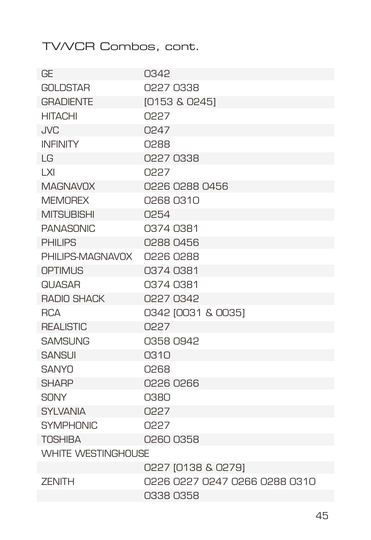# TV/VCR Combos, cont.

| GE                        | 0342                          |
|---------------------------|-------------------------------|
| <b>GOLDSTAR</b>           | 0227 0338                     |
| <b>GRADIENTE</b>          | [0153 & 0245]                 |
| <b>HITACHI</b>            | <b>N227</b>                   |
| <b>JVC</b>                | 0247                          |
| <b>INFINITY</b>           | 0288                          |
| $\overline{G}$            | 0227 0338                     |
| X                         | 0227                          |
| <b>MAGNAVOX</b>           | 0226 0288 0456                |
| <b>MEMOREX</b>            | 02680310                      |
| <b>MITSUBISHI</b>         | 0254                          |
| <b>PANASONIC</b>          | 0374 0381                     |
| <b>PHILIPS</b>            | 0288 0456                     |
| PHILIPS-MAGNAVOX          | 0226 0288                     |
| <b>OPTIMUS</b>            | 0374 0381                     |
| <b>QIJASAR</b>            | 0374 0381                     |
| <b>RADIO SHACK</b>        | 0227 0342                     |
| <b>RCA</b>                | 0342 [0031 & 0035]            |
| <b>REALISTIC</b>          | <b>CSSU</b>                   |
| <b>SAMSUNG</b>            | 0358 0942                     |
| <b>SANSUI</b>             | 0310                          |
| <b>SANYO</b>              | 0268                          |
| <b>SHARP</b>              | 0226 0266                     |
| SONY                      | 0380                          |
| <b>SYLVANIA</b>           | 0227                          |
| <b>SYMPHONIC</b>          | 0227                          |
| <b>TOSHIBA</b>            | 02600358                      |
| <b>WHITE WESTINGHOUSE</b> |                               |
|                           | 0227 10138 & 02791            |
| <b>ZENITH</b>             | 0310 0227 0247 0266 0288 0310 |
|                           | 0338 0358                     |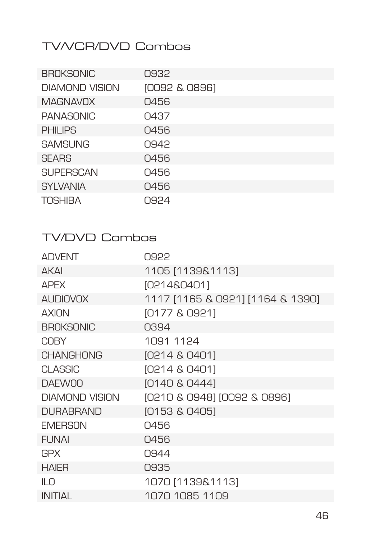# TV/VCR/DVD Combos

| <b>BROKSONIC</b> | 0932          |
|------------------|---------------|
| DIAMOND VISION   | [0092 & 0896] |
| <b>MAGNAVOX</b>  | 0456          |
| PANASONIC        | 0437          |
| <b>PHILIPS</b>   | 0456          |
| <b>SAMSUNG</b>   | O.942         |
| <b>SEARS</b>     | 0456          |
| <b>SUPERSCAN</b> | 0456          |
| <b>SYLVANIA</b>  | 0456          |
| <b>TOSHIBA</b>   | 0924          |

# TV/DVD Combos

| <b>ADVENT</b>    | 0922                             |
|------------------|----------------------------------|
| <b>AKAI</b>      | 1105 [1139&1113]                 |
| <b>APFX</b>      | [0214&0401]                      |
| <b>AUDIOVOX</b>  | 1117 [1165 & 0921] [1164 & 1390] |
| AXION            | [0177 & 0921]                    |
| BROKSONIC        | 0394                             |
| <b>COBY</b>      | 1091 1124                        |
| <b>CHANGHONG</b> | [0214 & 0401]                    |
| <b>CLASSIC</b>   | [0214 & 0401]                    |
| <b>DAEWOO</b>    | [0140 & 0444]                    |
| DIAMOND VISION   | [0210 & 0948] [0092 & 0896]      |
| <b>DURABRAND</b> | [0153 & 0405]                    |
| <b>EMERSON</b>   | Q456                             |
| <b>FUNAI</b>     | 0456                             |
| <b>GPX</b>       | 0944                             |
| <b>HAIER</b>     | 0935                             |
| $\mathbb{I}$ n   | 1070 [1139&1113]                 |
| <b>INITIAL</b>   | 1070 1085 1109                   |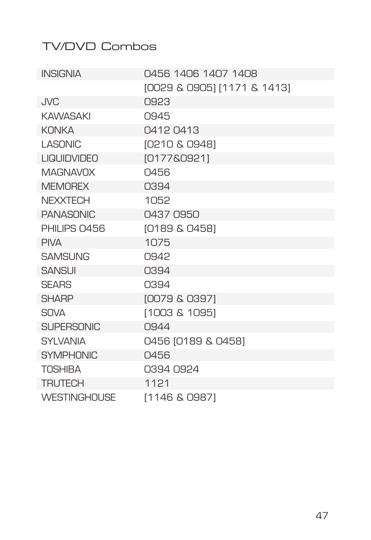# TV/DVD Combos

| <b>INSIGNIA</b>     | 0456 1406 1407 1408         |
|---------------------|-----------------------------|
|                     | [0029 & 0905] [1171 & 1413] |
| <b>JVC</b>          | 0923                        |
| <b>KAWASAKI</b>     | 0945                        |
| <b>KONKA</b>        | 0412 0413                   |
| I ASONIC            | [0210 & 0948]               |
| <b>LIQUIDVIDEO</b>  | [0177&0921]                 |
| <b>MAGNAVOX</b>     | 0456                        |
| <b>MEMOREX</b>      | 0394                        |
| <b>NEXXTECH</b>     | 1052                        |
| <b>PANASONIC</b>    | 0437 0950                   |
| PHILIPS 0456        | [0189 & 0458]               |
| <b>PIVA</b>         | 1075                        |
| <b>SAMSUNG</b>      | 0942                        |
| <b>SANSUI</b>       | 0394                        |
| <b>SEARS</b>        | 0394                        |
| <b>SHARP</b>        | [0079 & 0397]               |
| <b>SOVA</b>         | [1003 & 1095]               |
| <b>SUPERSONIC</b>   | 0944                        |
| <b>SYLVANIA</b>     | 0456 [0189 & 0458]          |
| <b>SYMPHONIC</b>    | 0456                        |
| <b>TOSHIBA</b>      | 0394 0924                   |
| <b>TRUTECH</b>      | 1121                        |
| <b>WESTINGHOUSE</b> | [1146 & 0987]               |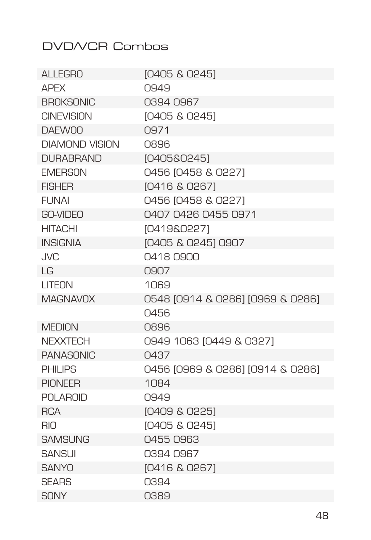# DVD/VCR Combos

| AI I FGRO         | [0405 & 0245]                    |
|-------------------|----------------------------------|
| <b>APFX</b>       | 0949                             |
| <b>BROKSONIC</b>  | 0394 0967                        |
| <b>CINEVISION</b> | [0405 & 0245]                    |
| <b>DAFWOO</b>     | O.971                            |
| DIAMOND VISION    | <b>O896</b>                      |
| <b>DURABRAND</b>  | [0405&0245]                      |
| <b>EMERSON</b>    | 0456 10458 & 02271               |
| <b>FISHFR</b>     | 10416 & 02671                    |
| FI INAI           | 0456 10458 & 02271               |
| GO-VIDEO          | 0407 0426 0455 0971              |
| <b>HITACHI</b>    | [0419&0227]                      |
| <b>INSIGNIA</b>   | [0405 & 0245] 0907               |
| , IVC             | 04180900                         |
| $\overline{G}$    | 0907                             |
| LITEON            | 1069                             |
| <b>MAGNAVOX</b>   | 0548 [0914 & 0286] [0969 & 0286] |
|                   | 0456                             |
| <b>MEDION</b>     | <b>NR96</b>                      |
| <b>NFXXTFCH</b>   | 0949 1063 [0449 & 0327]          |
| <b>PANASONIC</b>  | 0437                             |
| <b>PHILIPS</b>    | 0456 10969 & 02861 10914 & 02861 |
| <b>PIONEER</b>    | 1084                             |
| <b>POLAROID</b>   | 0949                             |
| <b>RCA</b>        | [0409 & 0225]                    |
| <b>RIO</b>        | [0405 & 0245]                    |
| <b>SAMSUNG</b>    | 04550963                         |
| <b>SANSUI</b>     | 0394 0967                        |
| <b>SANYO</b>      | [0416 & 0267]                    |
| <b>SFARS</b>      | 0394                             |
| <b>SONY</b>       | 0389                             |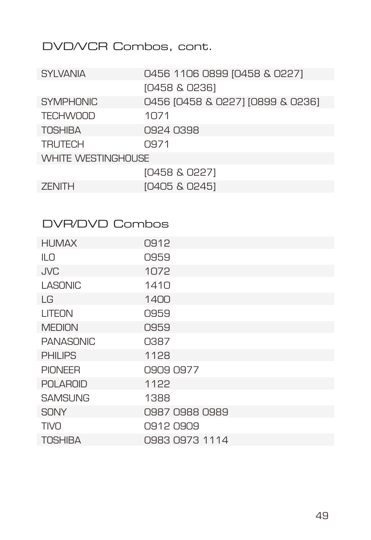# DVD/VCR Combos, cont.

| <b>SYLVANIA</b>           | 0456 1106 0899 [0458 & 0227]     |  |
|---------------------------|----------------------------------|--|
|                           | [0458 & 0236]                    |  |
| <b>SYMPHONIC</b>          | 0456 [0458 & 0227] [0899 & 0236] |  |
| <b>TECHWOOD</b>           | 1071                             |  |
| <b>TOSHIBA</b>            | 0924 0398                        |  |
| <b>TRUTECH</b>            | 0971                             |  |
| <b>WHITE WESTINGHOUSE</b> |                                  |  |
|                           | [0458 & 0227]                    |  |
| <b>ZENITH</b>             | [0405 & 0245]                    |  |

#### DVR/DVD Combos

| <b>HUMAX</b>     | 0912           |
|------------------|----------------|
| ILO              | 0959           |
| <b>JVC</b>       | 1072           |
| <b>LASONIC</b>   | 1410           |
| LG               | 1400           |
| LITEON           | 0959           |
| <b>MEDION</b>    | 0959           |
| <b>PANASONIC</b> | 0387           |
| <b>PHILIPS</b>   | 1128           |
| <b>PIONEER</b>   | 0909 0977      |
| <b>POLAROID</b>  | 1122           |
| <b>SAMSUNG</b>   | 1388           |
| SONY             | 0987 0988 0989 |
| <b>TIVO</b>      | 09120909       |
| <b>TOSHIBA</b>   | 0983 0973 1114 |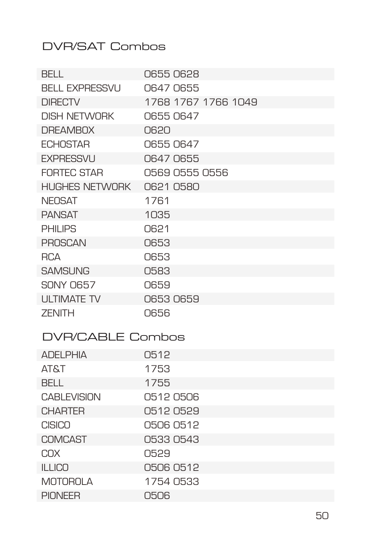# DVR/SAT Combos

MOTOROLA 1754 0533 PIONEER 0506

| <b>BELL</b>           | 0655 0628           |  |
|-----------------------|---------------------|--|
| <b>BELL EXPRESSVU</b> | 0647 0655           |  |
| <b>DIRECTV</b>        | 1768 1767 1766 1049 |  |
| <b>DISH NETWORK</b>   | O655 O647           |  |
| <b>DREAMBOX</b>       | 0620                |  |
| <b>ECHOSTAR</b>       | 06550647            |  |
| <b>EXPRESSVU</b>      | 0647 0655           |  |
| <b>FORTEC STAR</b>    | 0569 0555 0556      |  |
| <b>HUGHES NETWORK</b> | 0621 0580           |  |
| <b>NEOSAT</b>         | 1761                |  |
| <b>PANSAT</b>         | 1035                |  |
| <b>PHILIPS</b>        | 0621                |  |
| <b>PROSCAN</b>        | 0653                |  |
| <b>RCA</b>            | 0653                |  |
| <b>SAMSUNG</b>        | 0583                |  |
| SONY O657             | 0659                |  |
| <b>ULTIMATE TV</b>    | 06530659            |  |
| <b>ZENITH</b>         | 0656                |  |
| DVR/CABLE Combos      |                     |  |
| <b>ADELPHIA</b>       | 0512                |  |
| <b>TATA</b>           | 1753                |  |
| <b>BFII</b>           | 1755                |  |
| <b>CABLEVISION</b>    | 05120506            |  |
| <b>CHARTFR</b>        | 05120529            |  |
| <b>CISICO</b>         | 0506 0512           |  |
| <b>COMCAST</b>        | 0533 0543           |  |
| <b>COX</b>            | 0529                |  |
| <b>ILLICO</b>         | 0506 0512           |  |

50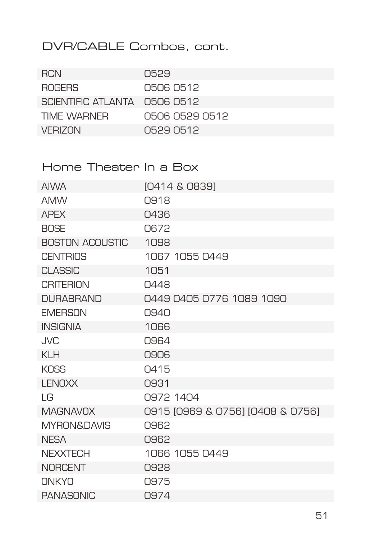# DVR/CABLE Combos, cont.

| <b>RCN</b>                    | O529           |
|-------------------------------|----------------|
| <b>ROGERS</b>                 | 0506 0512      |
| SCIENTIFIC ATI ANTA 0506 0512 |                |
| TIME WARNER                   | 0506 0529 0512 |
| VERIZON                       | 0529.0512      |

#### Home Theater In a Box

| <b>AIWA</b>            | [0414 & 0839]                    |
|------------------------|----------------------------------|
| <b>AMW</b>             | 0918                             |
| <b>APFX</b>            | 0436                             |
| <b>BOSE</b>            | 0672                             |
| <b>BOSTON ACOUSTIC</b> | 1098                             |
| <b>CENTRIOS</b>        | 1067 1055 0449                   |
| <b>CLASSIC</b>         | 1051                             |
| <b>CRITERION</b>       | 0448                             |
| <b>DURABRAND</b>       | 0449 0405 0776 1089 1090         |
| <b>FMFRSON</b>         | 0940                             |
| <b>INSIGNIA</b>        | 1066                             |
| <b>JVC</b>             | 0964                             |
| <b>KLH</b>             | 0906                             |
| KOSS                   | Q415                             |
| <b>LENOXX</b>          | 0931                             |
| I G                    | 0972 1404                        |
| <b>MAGNAVOX</b>        | 0915 [0969 & 0756] [0408 & 0756] |
| <b>MYRON&amp;DAVIS</b> | 0962                             |
| <b>NESA</b>            | 0962                             |
| <b>NFXXTFCH</b>        | 1066 1055 0449                   |
| <b>NORCENT</b>         | 0928                             |
| <b>NIKYO</b>           | 0975                             |
| <b>PANASONIC</b>       | 0974                             |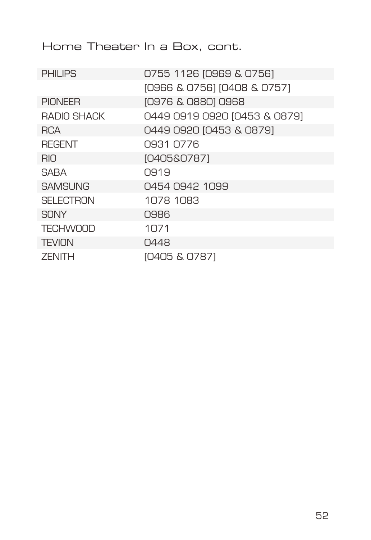Home Theater In a Box, cont.

| <b>PHILIPS</b>   | 0755 1126 [0969 & 0756]      |
|------------------|------------------------------|
|                  | [0966 & 0756] [0408 & 0757]  |
| <b>PIONEER</b>   | [0976 & 0880] 0968           |
| RADIO SHACK      | 0449 0919 0920 [0453 & 0879] |
| <b>RCA</b>       | 0449 0920 10453 & 08791      |
| <b>REGENT</b>    | 0931 0776                    |
| RIO.             | [0405&0787]                  |
| SARA             | 0.91.9                       |
| <b>SAMSUNG</b>   | 0454 0942 1099               |
| <b>SELECTRON</b> | 1078 1083                    |
| <b>SONY</b>      | 0986                         |
| <b>TECHWOOD</b>  | 1071                         |
| <b>TEVION</b>    | 0448                         |
| <b>ZENITH</b>    | [0405 & 0787]                |